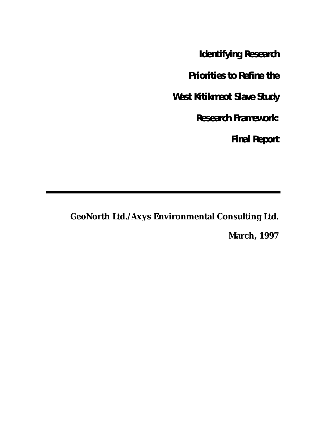**Identifying Research**

**Priorities to Refine the**

**West Kitikmeot Slave Study**

**Research Framework:**

**Final Report**

**GeoNorth Ltd./Axys Environmental Consulting Ltd.**

**March, 1997**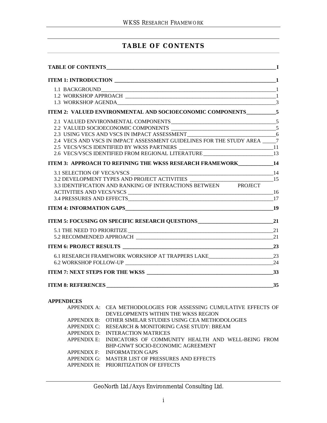## **TABLE OF CONTENTS**

| ITEM 2: VALUED ENVIRONMENTAL AND SOCIOECONOMIC COMPONENTS__________5               |    |
|------------------------------------------------------------------------------------|----|
|                                                                                    |    |
|                                                                                    |    |
|                                                                                    |    |
| 2.4 VECS AND VSCS IN IMPACT ASSESSMENT GUIDELINES FOR THE STUDY AREA ______7       |    |
| 2.5 VECS/VSCS IDENTIFIED BY WKSS PARTNERS _________________________________11      |    |
| 2.6 VECS/VSCS IDENTIFIED FROM REGIONAL LITERATURE ______________________________13 |    |
| ITEM 3: APPROACH TO REFINING THE WKSS RESEARCH FRAMEWORK___________14              |    |
|                                                                                    |    |
| 3.2 DEVELOPMENT TYPES AND PROJECT ACTIVITIES ___________________________________15 |    |
| 3.3 IDENTIFICATION AND RANKING OF INTERACTIONS BETWEEN PROJECT                     |    |
|                                                                                    |    |
|                                                                                    |    |
|                                                                                    |    |
|                                                                                    |    |
|                                                                                    |    |
|                                                                                    |    |
|                                                                                    |    |
| 6.1 RESEARCH FRAMEWORK WORKSHOP AT TRAPPERS LAKE________________________________23 |    |
|                                                                                    | 24 |
|                                                                                    | 33 |
|                                                                                    |    |

#### **APPENDICES**

| APPENDIX A: CEA METHODOLOGIES FOR ASSESSING CUMULATIVE EFFECTS OF |
|-------------------------------------------------------------------|
| DEVELOPMENTS WITHIN THE WKSS REGION                               |
| APPENDIX B: OTHER SIMILAR STUDIES USING CEA METHODOLOGIES         |
| APPENDIX C: RESEARCH & MONITORING CASE STUDY: BREAM               |
| APPENDIX D: INTERACTION MATRICES                                  |
| APPENDIX E: INDICATORS OF COMMUNITY HEALTH AND WELL-BEING FROM    |
| BHP-GNWT SOCIO-ECONOMIC AGREEMENT                                 |
| APPENDIX F: INFORMATION GAPS                                      |
| APPENDIX G: MASTER LIST OF PRESSURES AND EFFECTS                  |
| APPENDIX H: PRIORITIZATION OF EFFECTS                             |
|                                                                   |

GeoNorth Ltd./Axys Environmental Consulting Ltd.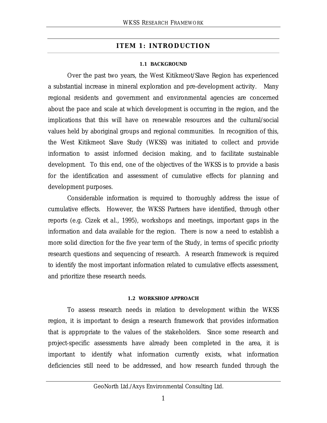### **ITEM 1: INTRODUCTION**

#### **1.1 BACKGROUND**

Over the past two years, the West Kitikmeot/Slave Region has experienced a substantial increase in mineral exploration and pre-development activity. Many regional residents and government and environmental agencies are concerned about the pace and scale at which development is occurring in the region, and the implications that this will have on renewable resources and the cultural/social values held by aboriginal groups and regional communities. In recognition of this, the West Kitikmeot Slave Study (WKSS) was initiated to collect and provide information to assist informed decision making, and to facilitate sustainable development. To this end, one of the objectives of the WKSS is to provide a basis for the identification and assessment of cumulative effects for planning and development purposes.

Considerable information is required to thoroughly address the issue of cumulative effects. However, the WKSS Partners have identified, through other reports (e.g. Cizek *et al.*, 1995), workshops and meetings, important gaps in the information and data available for the region. There is now a need to establish a more solid direction for the five year term of the Study, in terms of specific priority research questions and sequencing of research. A research framework is required to identify the most important information related to cumulative effects assessment, and prioritize these research needs.

#### **1.2 WORKSHOP APPROACH**

To assess research needs in relation to development within the WKSS region, it is important to design a research framework that provides information that is appropriate to the values of the stakeholders. Since some research and project-specific assessments have already been completed in the area, it is important to identify what information currently exists, what information deficiencies still need to be addressed, and how research funded through the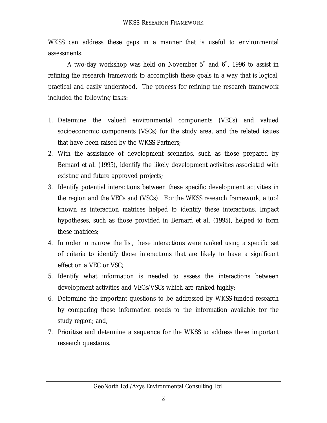WKSS can address these gaps in a manner that is useful to environmental assessments.

A two-day workshop was held on November  $5<sup>th</sup>$  and  $6<sup>th</sup>$ , 1996 to assist in refining the research framework to accomplish these goals in a way that is logical, practical and easily understood. The process for refining the research framework included the following tasks:

- 1. Determine the valued environmental components (VECs) and valued socioeconomic components (VSCs) for the study area, and the related issues that have been raised by the WKSS Partners;
- 2. With the assistance of development scenarios, such as those prepared by Bernard *et al.* (1995), identify the likely development activities associated with existing and future approved projects;
- 3. Identify potential interactions between these specific development activities in the region and the VECs and (VSCs). For the WKSS research framework, a tool known as interaction matrices helped to identify these interactions. Impact hypotheses, such as those provided in Bernard *et al.* (1995), helped to form these matrices;
- 4. In order to narrow the list, these interactions were ranked using a specific set of criteria to identify those interactions that are likely to have a significant effect on a VEC or VSC;
- 5. Identify what information is needed to assess the interactions between development activities and VECs/VSCs which are ranked highly;
- 6. Determine the important questions to be addressed by WKSS-funded research by comparing these information needs to the information available for the study region; and,
- 7. Prioritize and determine a sequence for the WKSS to address these important research questions.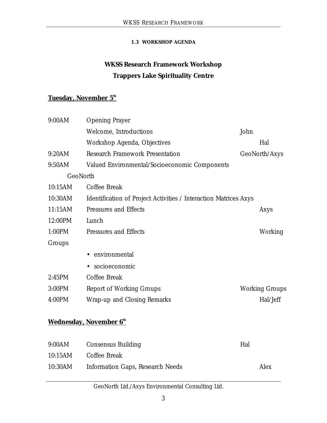#### **1.3 WORKSHOP AGENDA**

# **WKSS Research Framework Workshop Trappers Lake Spirituality Centre**

## **Tuesday, November 5th**

| 9:00AM  | <b>Opening Prayer</b>                                            |                       |
|---------|------------------------------------------------------------------|-----------------------|
|         | Welcome, Introductions                                           | John                  |
|         | Workshop Agenda, Objectives                                      | Hal                   |
| 9:20AM  | <b>Research Framework Presentation</b>                           | GeoNorth/Axys         |
| 9:50AM  | Valued Environmental/Socioeconomic Components                    |                       |
|         | GeoNorth                                                         |                       |
| 10:15AM | Coffee Break                                                     |                       |
| 10:30AM | Identification of Project Activities / Interaction Matrices Axys |                       |
| 11:15AM | Pressures and Effects                                            | Axys                  |
| 12:00PM | Lunch                                                            |                       |
| 1:00PM  | Pressures and Effects                                            | Working               |
| Groups  |                                                                  |                       |
|         | • environmental                                                  |                       |
|         | socioeconomic                                                    |                       |
| 2:45PM  | Coffee Break                                                     |                       |
| 3:00PM  | Report of Working Groups                                         | <b>Working Groups</b> |
| 4:00PM  | Wrap-up and Closing Remarks                                      | Hal/Jeff              |
|         |                                                                  |                       |

# **Wednesday, November 6th**

| 9:00AM | <b>Consensus Building</b>                | Hal |      |
|--------|------------------------------------------|-----|------|
|        | 10:15AM Coffee Break                     |     |      |
|        | 10:30AM Information Gaps, Research Needs |     | Alex |

## GeoNorth Ltd./Axys Environmental Consulting Ltd.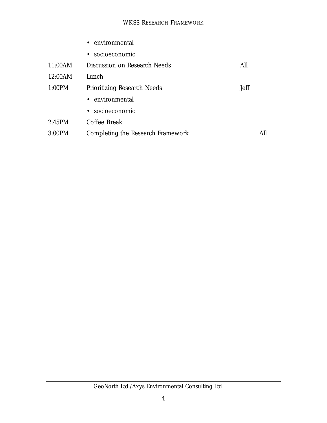|         | • environmental                   |      |
|---------|-----------------------------------|------|
|         | • socioeconomic                   |      |
| 11:00AM | Discussion on Research Needs      | All  |
| 12:00AM | Lunch                             |      |
| 1:00PM  | Prioritizing Research Needs       | Jeff |
|         | • environmental                   |      |
|         | • socioeconomic                   |      |
| 2:45PM  | Coffee Break                      |      |
| 3:00PM  | Completing the Research Framework | All  |
|         |                                   |      |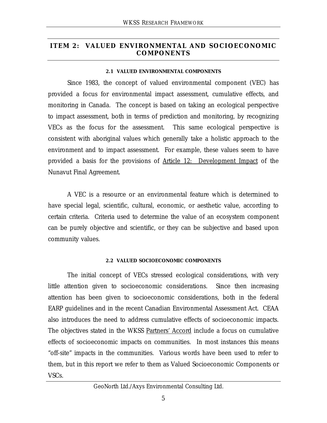## **ITEM 2: VALUED ENVIRONMENTAL AND SOCIOECONOMIC COMPONENTS**

#### **2.1 VALUED ENVIRONMENTAL COMPONENTS**

Since 1983, the concept of valued environmental component (VEC) has provided a focus for environmental impact assessment, cumulative effects, and monitoring in Canada. The concept is based on taking an ecological perspective to impact assessment, both in terms of prediction and monitoring, by recognizing VECs as the focus for the assessment. This same ecological perspective is consistent with aboriginal values which generally take a holistic approach to the environment and to impact assessment. For example, these values seem to have provided a basis for the provisions of Article 12: Development Impact of the Nunavut Final Agreement.

A VEC is a resource or an environmental feature which is determined to have special legal, scientific, cultural, economic, or aesthetic value, according to certain criteria. Criteria used to determine the value of an ecosystem component can be purely objective and scientific, or they can be subjective and based upon community values.

#### **2.2 VALUED SOCIOECONOMIC COMPONENTS**

The initial concept of VECs stressed ecological considerations, with very little attention given to socioeconomic considerations. Since then increasing attention has been given to socioeconomic considerations, both in the federal EARP guidelines and in the recent Canadian Environmental Assessment Act. CEAA also introduces the need to address cumulative effects of socioeconomic impacts. The objectives stated in the WKSS Partners' Accord include a focus on cumulative effects of socioeconomic impacts on communities. In most instances this means "off-site" impacts in the communities. Various words have been used to refer to them, but in this report we refer to them as Valued Socioeconomic Components or VSCs.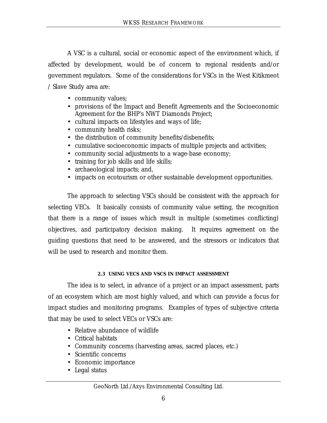A VSC is a cultural, social or economic aspect of the environment which, if affected by development, would be of concern to regional residents and/or government regulators. Some of the considerations for VSCs in the West Kitikmeot / Slave Study area are:

- community values;
- provisions of the Impact and Benefit Agreements and the Socioeconomic Agreement for the BHP's NWT Diamonds Project;
- cultural impacts on lifestyles and ways of life;
- community health risks;
- the distribution of community benefits/disbenefits;
- cumulative socioeconomic impacts of multiple projects and activities;
- community social adjustments to a wage-base economy;
- training for job skills and life skills;
- archaeological impacts; and,
- impacts on ecotourism or other sustainable development opportunities.

The approach to selecting VSCs should be consistent with the approach for selecting VECs. It basically consists of community value setting, the recognition that there is a range of issues which result in multiple (sometimes conflicting) objectives, and participatory decision making. It requires agreement on the guiding questions that need to be answered, and the stressors or indicators that will be used to research and monitor them.

### **2.3 USING VECS AND VSCS IN IMPACT ASSESSMENT**

The idea is to select, in advance of a project or an impact assessment, parts of an ecosystem which are most highly valued, and which can provide a focus for impact studies and monitoring programs. Examples of types of subjective criteria that may be used to select VECs or VSCs are:

- Relative abundance of wildlife
- Critical habitats
- Community concerns (harvesting areas, sacred places, etc.)
- Scientific concerns
- Economic importance
- Legal status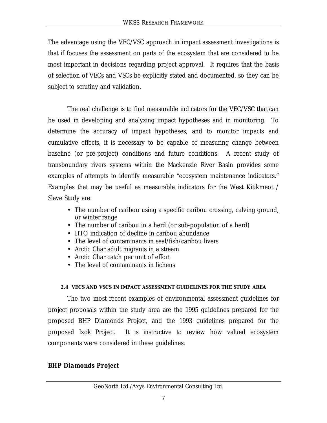The advantage using the VEC/VSC approach in impact assessment investigations is that if focuses the assessment on parts of the ecosystem that are considered to be most important in decisions regarding project approval. It requires that the basis of selection of VECs and VSCs be explicitly stated and documented, so they can be subject to scrutiny and validation.

The real challenge is to find measurable indicators for the VEC/VSC that can be used in developing and analyzing impact hypotheses and in monitoring. To determine the accuracy of impact hypotheses, and to monitor impacts and cumulative effects, it is necessary to be capable of measuring change between baseline (or pre-project) conditions and future conditions. A recent study of transboundary rivers systems within the Mackenzie River Basin provides some examples of attempts to identify measurable "ecosystem maintenance indicators." Examples that may be useful as measurable indicators for the West Kitikmeot / Slave Study are:

- The number of caribou using a specific caribou crossing, calving ground, or winter range
- The number of caribou in a herd (or sub-population of a herd)
- HTO indication of decline in caribou abundance
- The level of contaminants in seal/fish/caribou livers
- Arctic Char adult migrants in a stream
- Arctic Char catch per unit of effort
- The level of contaminants in lichens

## **2.4 VECS AND VSCS IN IMPACT ASSESSMENT GUIDELINES FOR THE STUDY AREA**

The two most recent examples of environmental assessment guidelines for project proposals within the study area are the 1995 guidelines prepared for the proposed *BHP Diamonds Project*, and the 1993 guidelines prepared for the proposed *Izok Project.* It is instructive to review how valued ecosystem components were considered in these guidelines.

## *BHP Diamonds Project*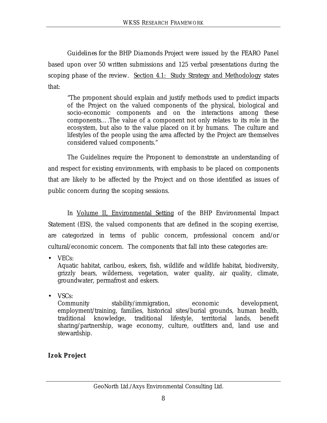*Guidelines for the BHP Diamonds Project* were issued by the FEARO Panel based upon over 50 written submissions and 125 verbal presentations during the scoping phase of the review. Section 4.1: Study Strategy and Methodology states that:

"The proponent should explain and justify methods used to predict impacts of the Project on the valued components of the physical, biological and socio-economic components and on the interactions among these components….The value of a component not only relates to its role in the ecosystem, but also to the value placed on it by humans. The culture and lifestyles of the people using the area affected by the Project are themselves considered valued components."

The Guidelines require the Proponent to demonstrate an understanding of and respect for existing environments, with emphasis to be placed on components that are likely to be affected by the Project and on those identified as issues of public concern during the scoping sessions.

In Volume II, Environmental Setting of the BHP Environmental Impact Statement (EIS), the valued components that are defined in the scoping exercise, are categorized in terms of public concern, professional concern and/or cultural/economic concern. The components that fall into these categories are:

• VECs:

Aquatic habitat, caribou, eskers, fish, wildlife and wildlife habitat, biodiversity, grizzly bears, wilderness, vegetation, water quality, air quality, climate, groundwater, permafrost and eskers.

• VSCs:

Community stability/immigration, economic development, employment/training, families, historical sites/burial grounds, human health, traditional knowledge, traditional lifestyle, territorial lands, benefit sharing/partnership, wage economy, culture, outfitters and, land use and stewardship.

# *Izok Project*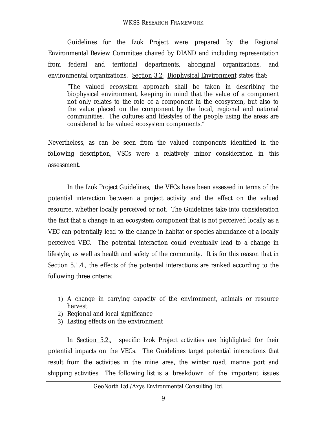*Guidelines for the Izok Project* were prepared by the Regional Environmental Review Committee chaired by DIAND and including representation from federal and territorial departments, aboriginal organizations, and environmental organizations. Section 3.2:Biophysical Environment states that:

"The valued ecosystem approach shall be taken in describing the biophysical environment, keeping in mind that the value of a component not only relates to the role of a component in the ecosystem, but also to the value placed on the component by the local, regional and national communities. The cultures and lifestyles of the people using the areas are considered to be valued ecosystem components."

Nevertheless, as can be seen from the valued components identified in the following description, VSCs were a relatively minor consideration in this assessment.

In the *Izok Project* Guidelines, the VECs have been assessed in terms of the potential interaction between a project activity and the effect on the valued resource, whether locally perceived or not. The Guidelines take into consideration the fact that a change in an ecosystem component that is not perceived locally as a VEC can potentially lead to the change in habitat or species abundance of a locally perceived VEC. The potential interaction could eventually lead to a change in lifestyle, as well as health and safety of the community. It is for this reason that in Section 5.1.4., the effects of the potential interactions are ranked according to the following three criteria:

- 1) A change in carrying capacity of the environment, animals or resource harvest
- 2) Regional and local significance
- 3) Lasting effects on the environment

In Section 5.2., specific *Izok Project* activities are highlighted for their potential impacts on the VECs. The Guidelines target potential interactions that result from the activities in the mine area, the winter road, marine port and shipping activities. The following list is a breakdown of the important issues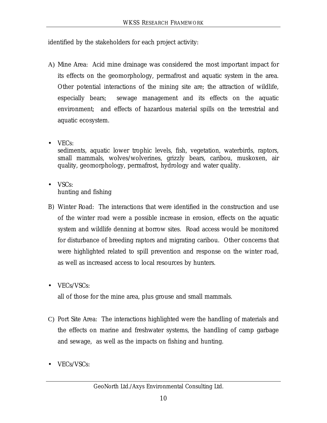identified by the stakeholders for each project activity:

- A) Mine Area: Acid mine drainage was considered the most important impact for its effects on the geomorphology, permafrost and aquatic system in the area. Other potential interactions of the mining site are; the attraction of wildlife, especially bears; sewage management and its effects on the aquatic environment; and effects of hazardous material spills on the terrestrial and aquatic ecosystem.
- VECs: sediments, aquatic lower trophic levels, fish, vegetation, waterbirds, raptors, small mammals, wolves/wolverines, grizzly bears, caribou, muskoxen, air quality, geomorphology, permafrost, hydrology and water quality.
- VSCs: hunting and fishing
- B) Winter Road: The interactions that were identified in the construction and use of the winter road were a possible increase in erosion, effects on the aquatic system and wildlife denning at borrow sites. Road access would be monitored for disturbance of breeding raptors and migrating caribou. Other concerns that were highlighted related to spill prevention and response on the winter road, as well as increased access to local resources by hunters.
- VECs/VSCs:

all of those for the mine area, plus grouse and small mammals.

- C) Port Site Area: The interactions highlighted were the handling of materials and the effects on marine and freshwater systems, the handling of camp garbage and sewage, as well as the impacts on fishing and hunting.
- VECs/VSCs: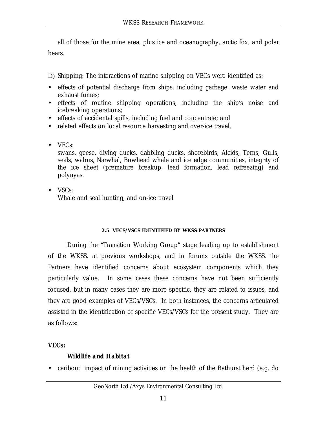all of those for the mine area, plus ice and oceanography, arctic fox, and polar bears.

D) Shipping: The interactions of marine shipping on VECs were identified as:

- effects of potential discharge from ships, including garbage, waste water and exhaust fumes;
- effects of routine shipping operations, including the ship's noise and icebreaking operations;
- effects of accidental spills, including fuel and concentrate; and
- related effects on local resource harvesting and over-ice travel.
- VECs:

swans, geese, diving ducks, dabbling ducks, shorebirds, Alcids, Terns, Gulls, seals, walrus, Narwhal, Bowhead whale and ice edge communities, integrity of the ice sheet (premature breakup, lead formation, lead refreezing) and polynyas.

• VSCs: Whale and seal hunting, and on-ice travel

## **2.5 VECS/VSCS IDENTIFIED BY WKSS PARTNERS**

During the "Transition Working Group" stage leading up to establishment of the WKSS, at previous workshops, and in forums outside the WKSS, the Partners have identified concerns about ecosystem components which they particularly value. In some cases these concerns have not been sufficiently focused, but in many cases they are more specific, they are related to issues, and they are good examples of VECs/VSCs. In both instances, the concerns articulated assisted in the identification of specific VECs/VSCs for the present study. They are as follows:

## *VECs:*

## *Wildlife and Habitat*

• caribou: impact of mining activities on the health of the Bathurst herd (e.g. do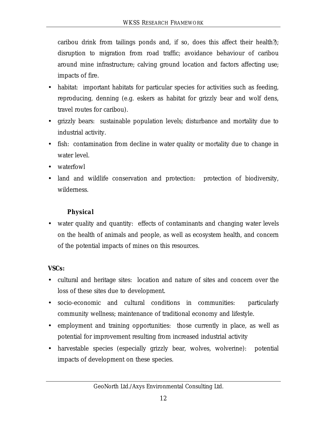caribou drink from tailings ponds and, if so, does this affect their health?); disruption to migration from road traffic; avoidance behaviour of caribou around mine infrastructure; calving ground location and factors affecting use; impacts of fire.

- habitat: important habitats for particular species for activities such as feeding, reproducing, denning (e.g. eskers as habitat for grizzly bear and wolf dens, travel routes for caribou).
- grizzly bears: sustainable population levels; disturbance and mortality due to industrial activity.
- fish: contamination from decline in water quality or mortality due to change in water level.
- waterfowl
- land and wildlife conservation and protection: protection of biodiversity, wilderness.

## *Physical*

• water quality and quantity: effects of contaminants and changing water levels on the health of animals and people, as well as ecosystem health, and concern of the potential impacts of mines on this resources.

## *VSCs:*

- cultural and heritage sites: location and nature of sites and concern over the loss of these sites due to development.
- socio-economic and cultural conditions in communities: particularly community wellness; maintenance of traditional economy and lifestyle.
- employment and training opportunities: those currently in place, as well as potential for improvement resulting from increased industrial activity
- harvestable species (especially grizzly bear, wolves, wolverine): potential impacts of development on these species.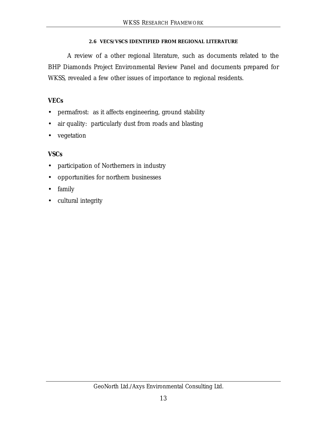### **2.6 VECS/VSCS IDENTIFIED FROM REGIONAL LITERATURE**

A review of a other regional literature, such as documents related to the BHP Diamonds Project Environmental Review Panel and documents prepared for WKSS, revealed a few other issues of importance to regional residents.

## *VECs*

- permafrost: as it affects engineering, ground stability
- air quality: particularly dust from roads and blasting
- vegetation

## *VSCs*

- participation of Northerners in industry
- opportunities for northern businesses
- family
- cultural integrity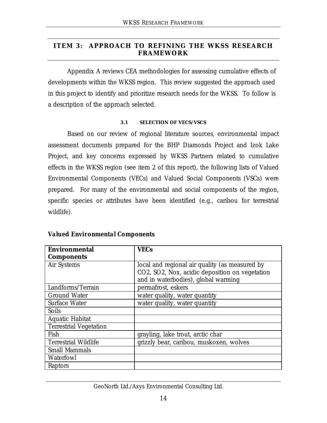## **ITEM 3: APPROACH TO REFINING THE WKSS RESEARCH FRAMEWORK**

Appendix A reviews CEA methodologies for assessing cumulative effects of developments within the WKSS region. This review suggested the approach used in this project to identify and prioritize research needs for the WKSS. To follow is a description of the approach selected.

#### **3.1 SELECTION OF VECS/VSCS**

Based on our review of regional literature sources, environmental impact assessment documents prepared for the BHP Diamonds Project and Izok Lake Project, and key concerns expressed by WKSS Partners related to cumulative effects in the WKSS region (see item 2 of this report), the following lists of Valued Environmental Components (VECs) and Valued Social Components (VSCs) were prepared. For many of the environmental and social components of the region, specific species or attributes have been identified (e.g., caribou for terrestrial wildlife).

| <b>Environmental</b>          | <b>VECs</b>                                    |  |  |
|-------------------------------|------------------------------------------------|--|--|
| <b>Components</b>             |                                                |  |  |
| Air Systems                   | local and regional air quality (as measured by |  |  |
|                               | CO2, SO2, Nox, acidic deposition on vegetation |  |  |
|                               | and in waterbodies), global warming            |  |  |
| Landforms/Terrain             | permafrost, eskers                             |  |  |
| <b>Ground Water</b>           | water quality, water quantity                  |  |  |
| Surface Water                 | water quality, water quantity                  |  |  |
| <b>Soils</b>                  |                                                |  |  |
| Aquatic Habitat               |                                                |  |  |
| <b>Terrestrial Vegetation</b> |                                                |  |  |
| Fish                          | grayling, lake trout, arctic char              |  |  |
| <b>Terrestrial Wildlife</b>   | grizzly bear, caribou, muskoxen, wolves        |  |  |
| <b>Small Mammals</b>          |                                                |  |  |
| Waterfowl                     |                                                |  |  |
| Raptors                       |                                                |  |  |

#### *Valued Environmental Components*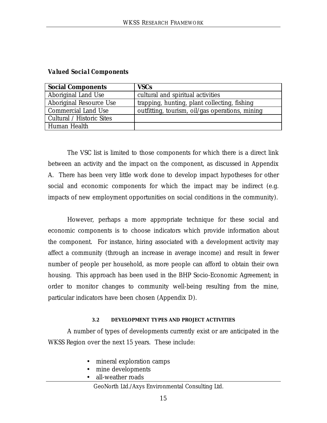| <b>Social Components</b>  | <b>VSCs</b>                                     |
|---------------------------|-------------------------------------------------|
| Aboriginal Land Use       | cultural and spiritual activities               |
| Aboriginal Resource Use   | trapping, hunting, plant collecting, fishing    |
| Commercial Land Use       | outfitting, tourism, oil/gas operations, mining |
| Cultural / Historic Sites |                                                 |
| Human Health              |                                                 |

### *Valued Social Components*

The VSC list is limited to those components for which there is a direct link between an activity and the impact on the component, as discussed in Appendix A. There has been very little work done to develop impact hypotheses for other social and economic components for which the impact may be indirect (e.g. impacts of new employment opportunities on social conditions in the community).

However, perhaps a more appropriate technique for these social and economic components is to choose indicators which provide information about the component. For instance, hiring associated with a development activity may affect a community (through an increase in average income) and result in fewer number of people per household, as more people can afford to obtain their own housing. This approach has been used in the BHP Socio-Economic Agreement; in order to monitor changes to community well-being resulting from the mine, particular indicators have been chosen (Appendix D).

#### **3.2 DEVELOPMENT TYPES AND PROJECT ACTIVITIES**

A number of types of developments currently exist or are anticipated in the WKSS Region over the next 15 years. These include:

- mineral exploration camps
- mine developments
- all-weather roads

GeoNorth Ltd./Axys Environmental Consulting Ltd.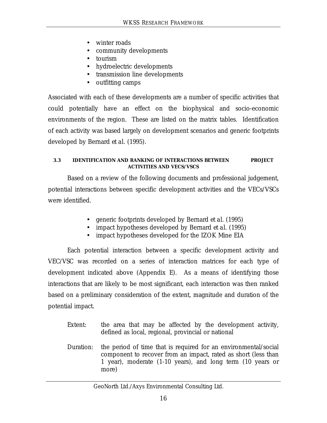- winter roads
- community developments
- tourism
- hydroelectric developments
- transmission line developments
- outfitting camps

Associated with each of these developments are a number of specific activities that could potentially have an effect on the biophysical and socio-economic environments of the region. These are listed on the matrix tables. Identification of each activity was based largely on development scenarios and generic footprints developed by Bernard *et al*. (1995).

#### **3.3 IDENTIFICATION AND RANKING OF INTERACTIONS BETWEEN PROJECT ACTIVITIES AND VECS/VSCS**

Based on a review of the following documents and professional judgement, potential interactions between specific development activities and the VECs/VSCs were identified.

- generic footprints developed by Bernard *et al*. (1995)
- impact hypotheses developed by Bernard *et al.* (1995)
- impact hypotheses developed for the IZOK Mine EIA

Each potential interaction between a specific development activity and VEC/VSC was recorded on a series of interaction matrices for each type of development indicated above (Appendix E). As a means of identifying those interactions that are likely to be most significant, each interaction was then ranked based on a preliminary consideration of the extent, magnitude and duration of the potential impact.

- Extent: the area that may be affected by the development activity, defined as local, regional, provincial or national
- Duration: the period of time that is required for an environmental/social component to recover from an impact, rated as short (less than 1 year), moderate (1-10 years), and long term (10 years or more)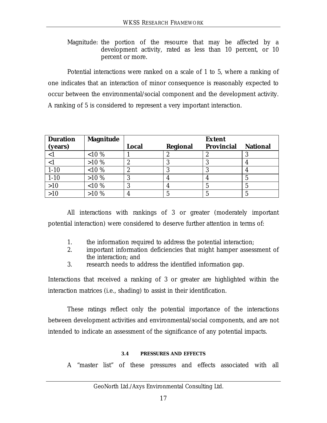Magnitude: the portion of the resource that may be affected by a development activity, rated as less than 10 percent, or 10 percent or more.

Potential interactions were ranked on a scale of 1 to 5, where a ranking of one indicates that an interaction of minor consequence is reasonably expected to occur between the environmental/social component and the development activity. A ranking of 5 is considered to represent a very important interaction.

| <b>Duration</b> | <b>Magnitude</b> |              |          | <b>Extent</b>     |                 |
|-----------------|------------------|--------------|----------|-------------------|-----------------|
| (years)         |                  | <b>Local</b> | Regional | <b>Provincial</b> | <b>National</b> |
| $\leq$ 1        | ${<}10%$         |              | تم       |                   |                 |
|                 | $>10\%$          | ∼            |          |                   |                 |
| $1 - 10$        | $< 10 \%$        | ພ            | w        |                   |                 |
| $1 - 10$        | $>10\%$          |              |          |                   | 5               |
| >10             | $< 10 \%$        |              |          |                   | b               |
| >10             | $>10\%$          |              |          |                   |                 |

All interactions with rankings of 3 or greater (moderately important potential interaction) were considered to deserve further attention in terms of:

- 1. the information required to address the potential interaction;
- 2. important information deficiencies that might hamper assessment of the interaction; and
- 3. research needs to address the identified information gap.

Interactions that received a ranking of 3 or greater are highlighted within the interaction matrices (i.e., shading) to assist in their identification.

These ratings reflect only the potential importance of the interactions between development activities and environmental/social components, and are not intended to indicate an assessment of the significance of any potential impacts.

### **3.4 PRESSURES AND EFFECTS**

A "master list" of these pressures and effects associated with all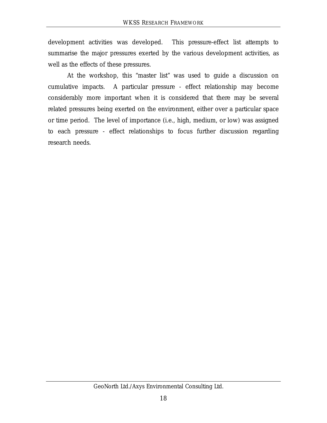development activities was developed. This pressure-effect list attempts to summarise the major pressures exerted by the various development activities, as well as the effects of these pressures.

At the workshop, this "master list" was used to guide a discussion on cumulative impacts. A particular pressure - effect relationship may become considerably more important when it is considered that there may be several related pressures being exerted on the environment, either over a particular space or time period. The level of importance (i.e., high, medium, or low) was assigned to each pressure - effect relationships to focus further discussion regarding research needs.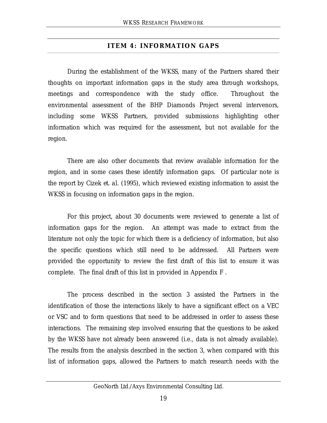## **ITEM 4: INFORMATION GAPS**

During the establishment of the WKSS, many of the Partners shared their thoughts on important information gaps in the study area through workshops, meetings and correspondence with the study office. Throughout the environmental assessment of the BHP Diamonds Project several intervenors, including some WKSS Partners, provided submissions highlighting other information which was required for the assessment, but not available for the region.

There are also other documents that review available information for the region, and in some cases these identify information gaps. Of particular note is the report by Cizek *et. al.* (1995), which reviewed existing information to assist the WKSS in focusing on information gaps in the region.

For this project, about 30 documents were reviewed to generate a list of information gaps for the region. An attempt was made to extract from the literature not only the topic for which there is a deficiency of information, but also the specific questions which still need to be addressed. All Partners were provided the opportunity to review the first draft of this list to ensure it was complete. The final draft of this list in provided in Appendix F .

The process described in the section 3 assisted the Partners in the identification of those the interactions likely to have a significant effect on a VEC or VSC and to form questions that need to be addressed in order to assess these interactions. The remaining step involved ensuring that the questions to be asked by the WKSS have not already been answered (i.e., data is not already available). The results from the analysis described in the section 3, when compared with this list of information gaps, allowed the Partners to match research needs with the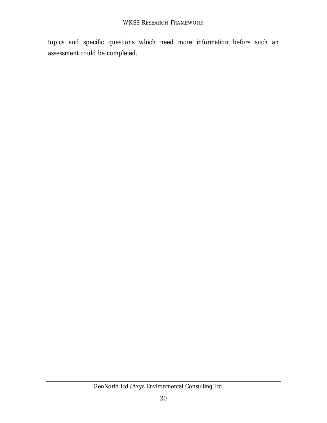topics and specific questions which need more information before such an assessment could be completed.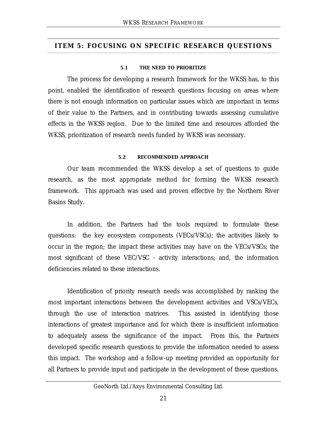#### **ITEM 5: FOCUSING ON SPECIFIC RESEARCH QUESTIONS**

#### **5.1 THE NEED TO PRIORITIZE**

The process for developing a research framework for the WKSS has, to this point, enabled the identification of research questions focusing on areas where there is not enough information on particular issues which are important in terms of their value to the Partners, and in contributing towards assessing cumulative effects in the WKSS region. Due to the limited time and resources afforded the WKSS, prioritization of research needs funded by WKSS was necessary.

#### **5.2 RECOMMENDED APPROACH**

Our team recommended the WKSS develop a set of questions to guide research, as the most appropriate method for forming the WKSS research framework. This approach was used and proven effective by the Northern River Basins Study.

In addition, the Partners had the tools required to formulate these questions: the key ecosystem components (VECs/VSCs); the activities likely to occur in the region; the impact these activities may have on the VECs/VSCs; the most significant of these VEC/VSC - activity interactions; and, the information deficiencies related to these interactions.

Identification of priority research needs was accomplished by ranking the most important interactions between the development activities and VSCs/VECs, through the use of interaction matrices. This assisted in identifying those interactions of greatest importance and for which there is insufficient information to adequately assess the significance of the impact. From this, the Partners developed specific research questions to provide the information needed to assess this impact. The workshop and a follow-up meeting provided an opportunity for all Partners to provide input and participate in the development of these questions.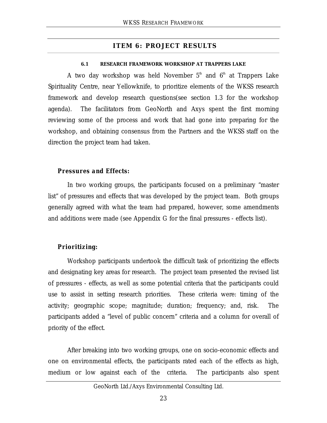## **ITEM 6: PROJECT RESULTS**

#### **6.1 RESEARCH FRAMEWORK WORKSHOP AT TRAPPERS LAKE**

A two day workshop was held November  $5<sup>th</sup>$  and  $6<sup>th</sup>$  at Trappers Lake Spirituality Centre, near Yellowknife, to prioritize elements of the WKSS research framework and develop research questions(see section 1.3 for the workshop agenda). The facilitators from GeoNorth and Axys spent the first morning reviewing some of the process and work that had gone into preparing for the workshop, and obtaining consensus from the Partners and the WKSS staff on the direction the project team had taken.

### *Pressures and Effects:*

In two working groups, the participants focused on a preliminary "master list" of pressures and effects that was developed by the project team. Both groups generally agreed with what the team had prepared, however, some amendments and additions were made (see Appendix G for the final pressures - effects list).

## *Prioritizing:*

Workshop participants undertook the difficult task of prioritizing the effects and designating key areas for research. The project team presented the revised list of pressures - effects, as well as some potential criteria that the participants could use to assist in setting research priorities. These criteria were: timing of the activity; geographic scope; magnitude; duration; frequency; and, risk. The participants added a "level of public concern" criteria and a column for overall of priority of the effect.

After breaking into two working groups, one on socio-economic effects and one on environmental effects, the participants rated each of the effects as high, medium or low against each of the criteria. The participants also spent

### GeoNorth Ltd./Axys Environmental Consulting Ltd.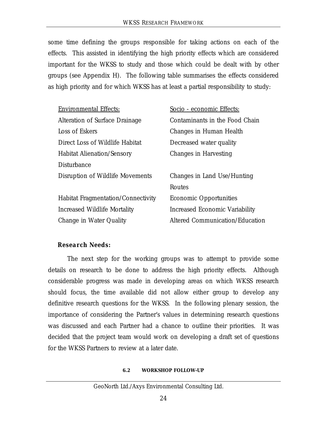some time defining the groups responsible for taking actions on each of the effects. This assisted in identifying the high priority effects which are considered important for the WKSS to study and those which could be dealt with by other groups (see Appendix H). The following table summarises the effects considered as high priority and for which WKSS has at least a partial responsibility to study:

| <b>Environmental Effects:</b>      | Socio - economic Effects:              |
|------------------------------------|----------------------------------------|
| Alteration of Surface Drainage     | Contaminants in the Food Chain         |
| Loss of Eskers                     | Changes in Human Health                |
| Direct Loss of Wildlife Habitat    | Decreased water quality                |
| <b>Habitat Alienation/Sensory</b>  | Changes in Harvesting                  |
| <b>Disturbance</b>                 |                                        |
| Disruption of Wildlife Movements   | Changes in Land Use/Hunting            |
|                                    | Routes                                 |
| Habitat Fragmentation/Connectivity | <b>Economic Opportunities</b>          |
| Increased Wildlife Mortality       | Increased Economic Variability         |
| Change in Water Quality            | <b>Altered Communication/Education</b> |

## *Research Needs:*

The next step for the working groups was to attempt to provide some details on research to be done to address the high priority effects. Although considerable progress was made in developing areas on which WKSS research should focus, the time available did not allow either group to develop any definitive research questions for the WKSS. In the following plenary session, the importance of considering the Partner's values in determining research questions was discussed and each Partner had a chance to outline their priorities. It was decided that the project team would work on developing a draft set of questions for the WKSS Partners to review at a later date.

#### **6.2 WORKSHOP FOLLOW-UP**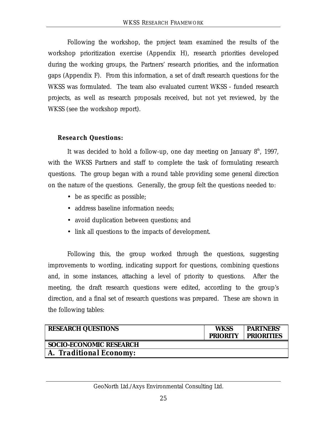Following the workshop, the project team examined the results of the workshop prioritization exercise (Appendix H), research priorities developed during the working groups, the Partners' research priorities, and the information gaps (Appendix F). From this information, a set of draft research questions for the WKSS was formulated. The team also evaluated current WKSS - funded research projects, as well as research proposals received, but not yet reviewed, by the WKSS (see the workshop report).

## *Research Questions:*

It was decided to hold a follow-up, one day meeting on January  $8<sup>th</sup>$ , 1997, with the WKSS Partners and staff to complete the task of formulating research questions. The group began with a round table providing some general direction on the nature of the questions. Generally, the group felt the questions needed to:

- be as specific as possible;
- address baseline information needs;
- avoid duplication between questions; and
- link all questions to the impacts of development.

Following this, the group worked through the questions, suggesting improvements to wording, indicating support for questions, combining questions and, in some instances, attaching a level of priority to questions. After the meeting, the draft research questions were edited, according to the group's direction, and a final set of research questions was prepared. These are shown in the following tables:

| <b>RESEARCH QUESTIONS</b>      | <b>WKSS</b><br><b>PRIORITY</b> | <b>PARTNERS'</b><br><b>PRIORITIES</b> |
|--------------------------------|--------------------------------|---------------------------------------|
| <b>SOCIO-ECONOMIC RESEARCH</b> |                                |                                       |
| A. Traditional Economy:        |                                |                                       |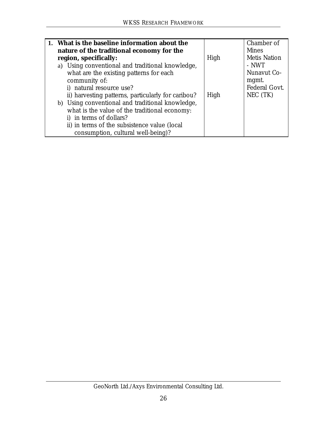| 1. What is the baseline information about the      |      | Chamber of          |
|----------------------------------------------------|------|---------------------|
| nature of the traditional economy for the          |      | <b>Mines</b>        |
| region, specifically:                              | High | <b>Metis Nation</b> |
| a) Using conventional and traditional knowledge,   |      | - NWT               |
| what are the existing patterns for each            |      | Nunavut Co-         |
| community of:                                      |      | mgmt.               |
| i) natural resource use?                           |      | Federal Govt.       |
| ii) harvesting patterns, particularly for caribou? | High | NEC (TK)            |
| b) Using conventional and traditional knowledge,   |      |                     |
| what is the value of the traditional economy:      |      |                     |
| i) in terms of dollars?                            |      |                     |
| ii) in terms of the subsistence value (local       |      |                     |
| consumption, cultural well-being)?                 |      |                     |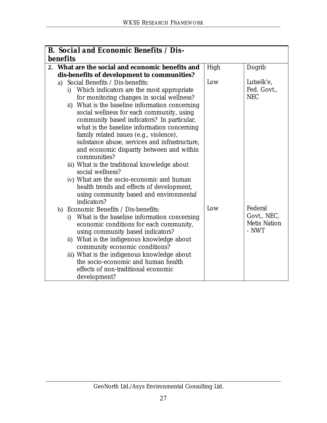| <b>B.</b> Social and Economic Benefits / Dis- |                                                           |      |                     |  |  |
|-----------------------------------------------|-----------------------------------------------------------|------|---------------------|--|--|
| <b>benefits</b>                               |                                                           |      |                     |  |  |
|                                               | 2. What are the social and economic benefits and          | High | Dogrib              |  |  |
|                                               | dis-benefits of development to communities?               |      |                     |  |  |
|                                               | a) Social Benefits / Dis-benefits:                        | Low  | Lutselk'e,          |  |  |
|                                               | i) Which indicators are the most appropriate              |      | Fed. Govt.,         |  |  |
|                                               | for monitoring changes in social wellness?                |      | <b>NEC</b>          |  |  |
|                                               | ii) What is the baseline information concerning           |      |                     |  |  |
|                                               | social wellness for each community, using                 |      |                     |  |  |
|                                               | community based indicators? In particular,                |      |                     |  |  |
|                                               | what is the baseline information concerning               |      |                     |  |  |
|                                               | family related issues (e.g., violence),                   |      |                     |  |  |
|                                               | substance abuse, services and infrastructure,             |      |                     |  |  |
|                                               | and economic disparity between and within                 |      |                     |  |  |
|                                               | communities?                                              |      |                     |  |  |
|                                               | iii) What is the traditional knowledge about              |      |                     |  |  |
|                                               | social wellness?                                          |      |                     |  |  |
|                                               | iv) What are the socio-economic and human                 |      |                     |  |  |
|                                               | health trends and effects of development,                 |      |                     |  |  |
|                                               | using community based and environmental                   |      |                     |  |  |
|                                               | indicators?                                               |      |                     |  |  |
| b)                                            | Economic Benefits / Dis-benefits:                         | Low  | Federal             |  |  |
|                                               | What is the baseline information concerning<br>$\ddot{1}$ |      | Govt., NEC,         |  |  |
|                                               | economic conditions for each community,                   |      | <b>Metis Nation</b> |  |  |
|                                               | using community based indicators?                         |      | - NWT               |  |  |
|                                               | ii) What is the indigenous knowledge about                |      |                     |  |  |
|                                               | community economic conditions?                            |      |                     |  |  |
|                                               | iii) What is the indigenous knowledge about               |      |                     |  |  |
|                                               | the socio-economic and human health                       |      |                     |  |  |
|                                               | effects of non-traditional economic                       |      |                     |  |  |
|                                               | development?                                              |      |                     |  |  |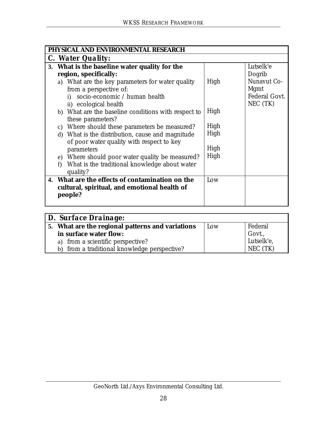| PHYSICAL AND ENVIRONMENTAL RESEARCH                 |      |               |  |
|-----------------------------------------------------|------|---------------|--|
| C. Water Quality:                                   |      |               |  |
| 3. What is the baseline water quality for the       |      | Lutselk'e     |  |
| region, specifically:                               |      | Dogrib        |  |
| a) What are the key parameters for water quality    | High | Nunavut Co-   |  |
| from a perspective of:                              |      | Mgmt          |  |
| i) socio-economic / human health                    |      | Federal Govt. |  |
| ii) ecological health                               |      | NEC (TK)      |  |
| b) What are the baseline conditions with respect to | High |               |  |
| these parameters?                                   |      |               |  |
| c) Where should these parameters be measured?       | High |               |  |
| d) What is the distribution, cause and magnitude    | High |               |  |
| of poor water quality with respect to key           |      |               |  |
| parameters                                          | High |               |  |
| e) Where should poor water quality be measured?     | High |               |  |
| What is the traditional knowledge about water<br>f) |      |               |  |
| quality?                                            |      |               |  |
| 4. What are the effects of contamination on the     | Low  |               |  |
| cultural, spiritual, and emotional health of        |      |               |  |
| people?                                             |      |               |  |
|                                                     |      |               |  |

| <b>D. Surface Drainage:</b>                      |     |                      |  |
|--------------------------------------------------|-----|----------------------|--|
| 5. What are the regional patterns and variations | Low | Federal              |  |
| in surface water flow:                           |     | Govt.,<br>Lutselk'e, |  |
| a) from a scientific perspective?                |     |                      |  |
| b) from a traditional knowledge perspective?     |     | NEC (TK)             |  |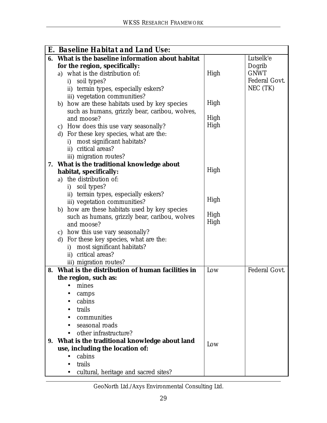|    | <b>E. Baseline Habitat and Land Use:</b>        |      |               |
|----|-------------------------------------------------|------|---------------|
| 6. | What is the baseline information about habitat  |      | Lutselk'e     |
|    | for the region, specifically:                   |      | Dogrib        |
|    | a) what is the distribution of:                 | High | <b>GNWT</b>   |
|    | i) soil types?                                  |      | Federal Govt. |
|    | ii) terrain types, especially eskers?           |      | NEC (TK)      |
|    | iii) vegetation communities?                    |      |               |
|    | b) how are these habitats used by key species   | High |               |
|    | such as humans, grizzly bear, caribou, wolves,  |      |               |
|    | and moose?                                      | High |               |
|    | c) How does this use vary seasonally?           | High |               |
|    | d) For these key species, what are the:         |      |               |
|    | most significant habitats?<br>i)                |      |               |
|    | ii) critical areas?                             |      |               |
|    | iii) migration routes?                          |      |               |
|    | 7. What is the traditional knowledge about      |      |               |
|    | habitat, specifically:                          | High |               |
|    | a) the distribution of:                         |      |               |
|    | i) soil types?                                  |      |               |
|    | ii) terrain types, especially eskers?           |      |               |
|    | iii) vegetation communities?                    | High |               |
|    | b) how are these habitats used by key species   | High |               |
|    | such as humans, grizzly bear, caribou, wolves   | High |               |
|    | and moose?                                      |      |               |
|    | c) how this use vary seasonally?                |      |               |
|    | d) For these key species, what are the:         |      |               |
|    | i) most significant habitats?                   |      |               |
|    | ii) critical areas?                             |      |               |
|    | iii) migration routes?                          |      | Federal Govt. |
| 8. | What is the distribution of human facilities in | Low  |               |
|    | the region, such as:                            |      |               |
|    | mines                                           |      |               |
|    | camps                                           |      |               |
|    | cabins                                          |      |               |
|    | trails                                          |      |               |
|    | communities                                     |      |               |
|    | seasonal roads                                  |      |               |
|    | other infrastructure?                           |      |               |
| 9. | What is the traditional knowledge about land    | Low  |               |
|    | use, including the location of:                 |      |               |
|    | cabins                                          |      |               |
|    | trails                                          |      |               |
|    | cultural, heritage and sacred sites?            |      |               |

GeoNorth Ltd./Axys Environmental Consulting Ltd.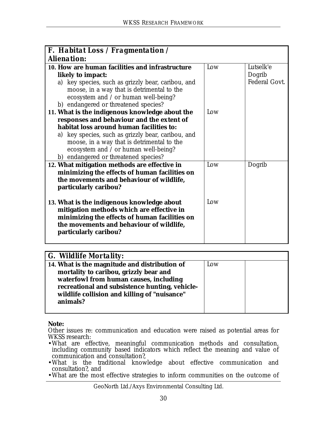| <b>F.</b> Habitat Loss / Fragmentation /<br><b>Alienation:</b>                                                                                                                                                                                                                                                              |            |                                      |  |
|-----------------------------------------------------------------------------------------------------------------------------------------------------------------------------------------------------------------------------------------------------------------------------------------------------------------------------|------------|--------------------------------------|--|
| 10. How are human facilities and infrastructure<br>likely to impact:<br>a) key species, such as grizzly bear, caribou, and<br>moose, in a way that is detrimental to the<br>ecosystem and / or human well-being?<br>b) endangered or threatened species?                                                                    | Low        | Lutselk'e<br>Dogrib<br>Federal Govt. |  |
| 11. What is the indigenous knowledge about the<br>responses and behaviour and the extent of<br>habitat loss around human facilities to:<br>a) key species, such as grizzly bear, caribou, and<br>moose, in a way that is detrimental to the<br>ecosystem and / or human well-being?<br>b) endangered or threatened species? | Low        |                                      |  |
| 12. What mitigation methods are effective in<br>minimizing the effects of human facilities on<br>the movements and behaviour of wildlife,<br>particularly caribou?<br>13. What is the indigenous knowledge about<br>mitigation methods which are effective in<br>minimizing the effects of human facilities on              | Low<br>Low | Dogrib                               |  |
| the movements and behaviour of wildlife,<br>particularly caribou?                                                                                                                                                                                                                                                           |            |                                      |  |

| <b>G.</b> Wildlife Mortality:                  |     |  |
|------------------------------------------------|-----|--|
| 14. What is the magnitude and distribution of  | Low |  |
| mortality to caribou, grizzly bear and         |     |  |
| waterfowl from human causes, including         |     |  |
| recreational and subsistence hunting, vehicle- |     |  |
| wildlife collision and killing of "nuisance"   |     |  |
| animals?                                       |     |  |
|                                                |     |  |

**Note:**

- •What is the traditional knowledge about effective communication and consultation?, and
- •What are the most effective strategies to inform communities on the outcome of

GeoNorth Ltd./Axys Environmental Consulting Ltd.

Other issues re: communication and education were raised as potential areas for WKSS research:

<sup>•</sup>What are effective, meaningful communication methods and consultation, including community based indicators which reflect the meaning and value of communication and consultation?,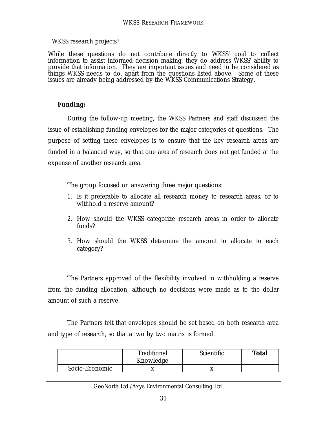### WKSS research projects?

While these questions do not contribute directly to WKSS' goal to collect information to assist informed decision making, they do address WKSS' ability to provide that information. They are important issues and need to be considered as things WKSS needs to do, apart from the questions listed above. Some of these issues are already being addressed by the WKSS Communications Strategy.

## *Funding:*

During the follow-up meeting, the WKSS Partners and staff discussed the issue of establishing funding envelopes for the major categories of questions. The purpose of setting these envelopes is to ensure that the key research areas are funded in a balanced way, so that one area of research does not get funded at the expense of another research area.

The group focused on answering three major questions:

- 1. Is it preferable to allocate all research money to research areas, or to withhold a reserve amount?
- 2. How should the WKSS categorize research areas in order to allocate funds?
- 3. How should the WKSS determine the amount to allocate to each category?

The Partners approved of the flexibility involved in withholding a reserve from the funding allocation, although no decisions were made as to the dollar amount of such a reserve.

The Partners felt that envelopes should be set based on both research area and type of research, so that a two by two matrix is formed.

|                | Traditional<br>Knowledge | Scientific | <b>Total</b> |
|----------------|--------------------------|------------|--------------|
| Socio-Economic |                          |            |              |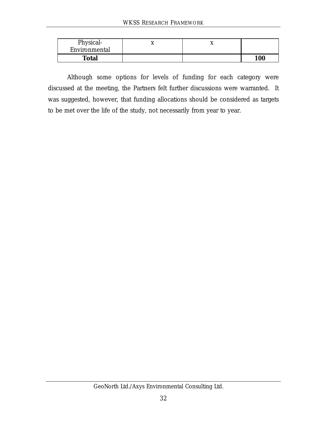| Physical-     | ◢ | ◢ |                   |
|---------------|---|---|-------------------|
| Environmental |   |   |                   |
| <b>Total</b>  |   |   | <i><b>100</b></i> |

Although some options for levels of funding for each category were discussed at the meeting, the Partners felt further discussions were warranted. It was suggested, however, that funding allocations should be considered as targets to be met over the life of the study, not necessarily from year to year.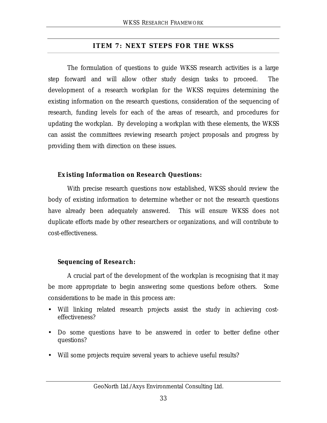## **ITEM 7: NEXT STEPS FOR THE WKSS**

The formulation of questions to guide WKSS research activities is a large step forward and will allow other study design tasks to proceed. The development of a research workplan for the WKSS requires determining the existing information on the research questions, consideration of the sequencing of research, funding levels for each of the areas of research, and procedures for updating the workplan. By developing a workplan with these elements, the WKSS can assist the committees reviewing research project proposals and progress by providing them with direction on these issues.

## *Existing Information on Research Questions:*

With precise research questions now established, WKSS should review the body of existing information to determine whether or not the research questions have already been adequately answered. This will ensure WKSS does not duplicate efforts made by other researchers or organizations, and will contribute to cost-effectiveness.

## *Sequencing of Research:*

A crucial part of the development of the workplan is recognising that it may be more appropriate to begin answering some questions before others. Some considerations to be made in this process are:

- Will linking related research projects assist the study in achieving costeffectiveness?
- Do some questions have to be answered in order to better define other questions?
- Will some projects require several years to achieve useful results?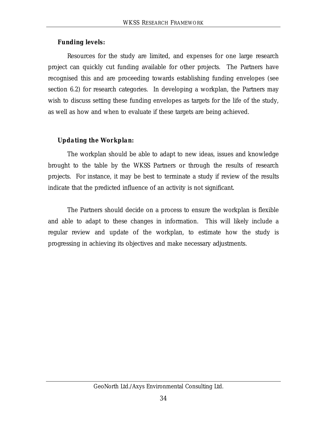## *Funding levels:*

Resources for the study are limited, and expenses for one large research project can quickly cut funding available for other projects. The Partners have recognised this and are proceeding towards establishing funding envelopes (see section 6.2) for research categories. In developing a workplan, the Partners may wish to discuss setting these funding envelopes as targets for the life of the study, as well as how and when to evaluate if these targets are being achieved.

## *Updating the Workplan:*

The workplan should be able to adapt to new ideas, issues and knowledge brought to the table by the WKSS Partners or through the results of research projects. For instance, it may be best to terminate a study if review of the results indicate that the predicted influence of an activity is not significant.

The Partners should decide on a process to ensure the workplan is flexible and able to adapt to these changes in information. This will likely include a regular review and update of the workplan, to estimate how the study is progressing in achieving its objectives and make necessary adjustments.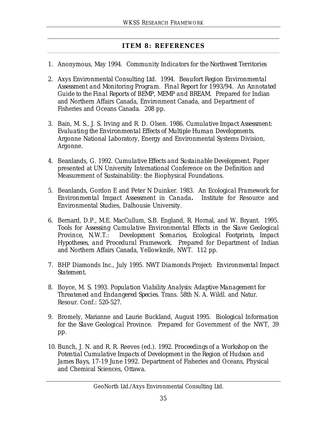## **ITEM 8: REFERENCES**

- *1.* Anonymous, May 1994. *Community Indicators for the Northwest Territories*
- 2. Axys Environmental Consulting Ltd. 1994. *Beaufort Region Environmental Assessment and Monitoring Program. Final Report for 1993/94. An Annotated Guide to the Final Reports of BEMP, MEMP and BREAM*. Prepared for Indian and Northern Affairs Canada, Environment Canada, and Department of Fisheries and Oceans Canada. 208 pp.
- 3. Bain, M. S., J. S. Irving and R. D. Olsen. 1986. *Cumulative Impact Assessment: Evaluating the Environmental Effects of Multiple Human Developments*. Argonne National Laboratory, Energy and Environmental Systems Division, Argonne.
- 4. Beanlands, G. 1992. *Cumulative Effects and Sustainable Development.* Paper presented at UN University International Conference on the Definition and Measurement of Sustainability: the Biophysical Foundations.
- 5. Beanlands, Gordon E and Peter N Duinker. 1983. *An Ecological Framework for Environmental Impact Assessment in Canada***.** Institute for Resource and Environmental Studies, Dalhousie University.
- 6. Bernard, D.P., M.E. MacCullum, S.B. England, R. Hornal, and W. Bryant. 1995. *Tools for Assessing Cumulative Environmental Effects in the Slave Geological Province, N.W.T.: Development Scenarios, Ecological Footprints, Impact Hypotheses, and Procedural Framework*. Prepared for Department of Indian and Northern Affairs Canada, Yellowknife, NWT. 112 pp.
- *7.* BHP Diamonds Inc., July 1995. *NWT Diamonds Project: Environmental Impact Statement.*
- 8. Boyce, M. S. 1993. *Population Viability Analysis: Adaptive Management for Threatened and Endangered Species*. Trans. 58th N. A. Wildl. and Natur. Resour. Conf.: 520-527.
- 9. Bromely, Marianne and Laurie Buckland, August 1995. *Biological Information for the Slave Geological Province*. Prepared for Government of the NWT, 39 pp.
- 10. Bunch, J. N. and R. R. Reeves (ed.). 1992. *Proceedings of a Workshop on the Potential Cumulative Impacts of Development in the Region of Hudson and James Bays, 17-19 June 1992*. Department of Fisheries and Oceans, Physical and Chemical Sciences, Ottawa.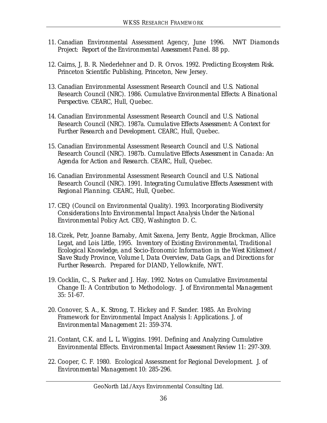- 11. Canadian Environmental Assessment Agency, June 1996*. NWT Diamonds Project: Report of the Environmental Assessment Panel.* 88 pp.
- 12. Cairns, J, B. R. Niederlehner and D. R. Orvos. 1992. *Predicting Ecosystem Risk*. Princeton Scientific Publishing, Princeton, New Jersey.
- 13. Canadian Environmental Assessment Research Council and U.S. National Research Council (NRC). 1986. *Cumulative Environmental Effects: A Binational Perspective*. CEARC, Hull, Quebec.
- 14. Canadian Environmental Assessment Research Council and U.S. National Research Council (NRC). 1987a. *Cumulative Effects Assessment: A Context for Further Research and Development*. CEARC, Hull, Quebec.
- 15. Canadian Environmental Assessment Research Council and U.S. National Research Council (NRC). 1987b. *Cumulative Effects Assessment in Canada: An Agenda for Action and Research*. CEARC, Hull, Quebec.
- 16. Canadian Environmental Assessment Research Council and U.S. National Research Council (NRC). 1991. *Integrating Cumulative Effects Assessment with Regional Planning.* CEARC, Hull, Quebec.
- 17. CEQ (Council on Environmental Quality). 1993. *Incorporating Biodiversity Considerations Into Environmental Impact Analysis Under the National Environmental Policy Act*. CEQ, Washington D. C.
- *18.*Cizek, Petr, Joanne Barnaby, Amit Saxena, Jerry Bentz, Aggie Brockman, Allice Legat, and Lois Little, 1995. *Inventory of Existing Environmental, Traditional Ecological Knowledge, and Socio-Economic Information in the West Kitikmeot / Slave Study Province, Volume I, Data Overview, Data Gaps, and Directions for Further Research.* Prepared for DIAND, Yellowknife, NWT.
- 19. Cocklin, C., S. Parker and J. Hay. 1992. Notes on Cumulative Environmental Change II: A Contribution to Methodology. *J. of Environmental Management* 35: 51-67.
- 20. Conover, S. A., K. Strong, T. Hickey and F. Sander. 1985. An Evolving Framework for Environmental Impact Analysis I: Applications. *J. of Environmental Management* 21: 359-374.
- 21. Contant, C.K. and L. L. Wiggins. 1991. Defining and Analyzing Cumulative Environmental Effects. *Environmental Impact Assessment Review* 11: 297-309.
- 22. Cooper, C. F. 1980. Ecological Assessment for Regional Development. *J. of Environmental Management* 10: 285-296.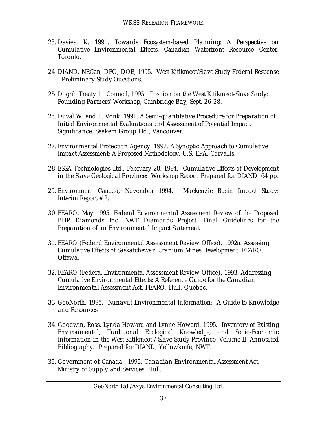- 23. Davies, K. 1991. *Towards Ecosystem-based Planning: A Perspective on Cumulative Environmental Effects*. Canadian Waterfront Resource Center, Toronto.
- *24.*DIAND, NRCan, DFO, DOE, 1995. *West Kitikmeot/Slave Study Federal Response - Preliminary Study Questions.*
- *25.*Dogrib Treaty 11 Council, 1995. *Position on the West Kitikmeot-Slave Study: Founding Partners' Workshop, Cambridge Bay, Sept. 26-28.*
- 26. Duval W. and P. Vonk. 1991*. A Semi-quantitative Procedure for Preparation of Initial Environmental Evaluations and Assessment of Potential Impact Significance*. Seakem Group Ltd., Vancouver.
- 27. Environmental Protection Agency. 1992. *A Synoptic Approach to Cumulative Impact Assessment; A Proposed Methodology.* U.S. EPA, Corvallis.
- *28.*ESSA Technologies Ltd., February 28, 1994. *Cumulative Effects of Development in the Slave Geological Province: Workshop Report.* Prepared for DIAND*.* 64 pp.
- 29. Environment Canada, November 1994. *Mackenzie Basin Impact Study: Interim Report # 2.*
- *30.* FEARO, May 1995. *Federal Environmental Assessment Review of the Proposed BHP Diamonds Inc. NWT Diamonds Project. Final Guidelines for the Preparation of an Environmental Impact Statement.*
- 31. FEARO (Federal Environmental Assessment Review Office). 1992a. *Assessing Cumulative Effects of Saskatchewan Uranium Mines Development*. FEARO, Ottawa.
- 32. FEARO (Federal Environmental Assessment Review Office). 1993. *Addressing Cumulative Environmental Effects: A Reference Guide for the Canadian Environmental Assessment Act.* FEARO, Hull, Quebec.
- *33.*GeoNorth, 1995. *Nunavut Environmental Information: A Guide to Knowledge and Resources.*
- *34.*Goodwin, Ross, Lynda Howard and Lynne Howard, 1995. *Inventory of Existing Environmental, Traditional Ecological Knowledge, and Socio-Economic Information in the West Kitikmeot / Slave Study Province, Volume II, Annotated Bibliography*. Prepared for DIAND, Yellowknife, NWT.
- 35. Government of Canada . 1995. *Canadian Environmental Assessment Act*. Ministry of Supply and Services, Hull.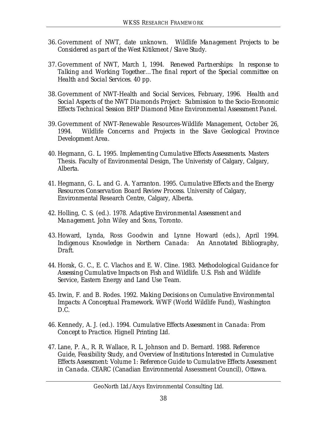- *36.*Government of NWT, date unknown. *Wildlife Management Projects to be Considered as part of the West Kitikmeot / Slave Study.*
- *37.*Government of NWT, March 1, 1994. *Renewed Partnerships: In response to Talking and Working Together…The final report of the Special committee on Health and Social Services.* 40 pp.
- *38.*Government of NWT-Health and Social Services, February, 1996. *Health and Social Aspects of the NWT Diamonds Project: Submission to the Socio-Economic Effects Technical Session BHP Diamond Mine Environmental Assessment Panel.*
- *39.*Government of NWT-Renewable Resources-Wildlife Management, October 26, 1994. *Wildlife Concerns and Projects in the Slave Geological Province Development Area.*
- 40. Hegmann, G. L. 1995. *Implementing Cumulative Effects Assessments*. Masters Thesis. Faculty of Environmental Design, The Univeristy of Calgary, Calgary, Alberta.
- 41. Hegmann, G. L. and G. A. Yarranton. 1995*. Cumulative Effects and the Energy Resources Conservation Board Review Process*. University of Calgary, Environmental Research Centre, Calgary, Alberta.
- 42. Holling, C. S. (ed.). 1978. *Adaptive Environmental Assessment and Management.* John Wiley and Sons, Toronto.
- *43.*Howard, Lynda, Ross Goodwin and Lynne Howard (eds.), April 1994. *Indigenous Knowledge in Northern Canada: An Annotated Bibliography, Draft.*
- 44. Horak, G. C., E. C. Vlachos and E. W. Cline. 1983. *Methodological Guidance for Assessing Cumulative Impacts on Fish and Wildlife*. U.S. Fish and Wildlife Service, Eastern Energy and Land Use Team.
- 45. Irwin, F. and B. Rodes. 1992. *Making Decisions on Cumulative Environmental Impacts: A Conceptual Framework*. WWF (World Wildlife Fund), Washington D.C.
- 46. Kennedy, A. J. (ed.). 1994. *Cumulative Effects Assessment in Canada: From Concept to Practice.* Hignell Printing Ltd.
- 47. Lane, P. A., R. R. Wallace, R. L. Johnson and D. Bernard. 1988. *Reference Guide, Feasibility Study, and Overview of Institutions Interested in Cumulative Effects Assessment: Volume 1: Reference Guide to Cumulative Effects Assessment in Canada*. CEARC (Canadian Environmental Assessment Council), Ottawa.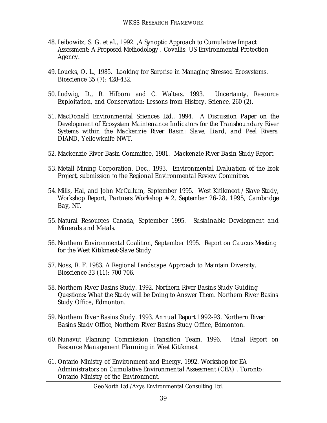- 48. Leibowitz, S. G. *et al*., 1992. ,*A Synoptic Approach to Cumulative Impact Assessment: A Proposed Methodology* . Covallis: US Environmental Protection Agency.
- 49. Loucks, O. L., 1985. Looking for Surprise in Managing Stressed Ecosystems. *Bioscience* 35 (7): 428-432.
- 50. Ludwig, D., R. Hilborn and C. Walters. 1993. Uncertainty, Resource Exploitation, and Conservation: Lessons from History. *Science*, 260 (2).
- 51. MacDonald Environmental Sciences Ltd., 1994. *A Discussion Paper on the Development of Ecosystem Maintenance Indicators for the Transboundary River Systems within the Mackenzie River Basin: Slave, Liard, and Peel Rivers*. DIAND, Yellowknife NWT.
- 52. Mackenzie River Basin Committee, 1981. *Mackenzie River Basin Study Report.*
- *53.* Metall Mining Corporation, Dec., 1993. *Environmental Evaluation of the Izok Project, submission to the Regional Environmental Review Committee.*
- *54.* Mills, Hal, and John McCullum, September 1995. *West Kitikmeot / Slave Study, Workshop Report, Partners Workshop # 2, September 26-28, 1995, Cambridge Bay, NT.*
- *55.*Natural Resources Canada, September 1995. *Sustainable Development and Minerals and Metals.*
- 56. Northern Environmental Coalition, September 1995. *Report on Caucus Meeting for the West Kitikmeot-Slave Study*
- 57. Noss, R. F. 1983. A Regional Landscape Approach to Maintain Diversity. *Bioscience* 33 (11): 700-706.
- 58. Northern River Basins Study. 1992. *Northern River Basins Study Guiding Questions: What the Study will be Doing to Answer Them.* Northern River Basins Study Office, Edmonton.
- 59. Northern River Basins Study. 1993. *Annual Report 1992-93. Northern River Basins Study Office*, Northern River Basins Study Office, Edmonton.
- *60.*Nunavut Planning Commission Transition Team, 1996. *Final Report on Resource Management Planning in West Kitikmeot*
- 61. Ontario Ministry of Environment and Energy. 1992. *Workshop for EA Administrators on Cumulative Environmental Assessment (CEA)* . Toronto: Ontario Ministry of the Environment.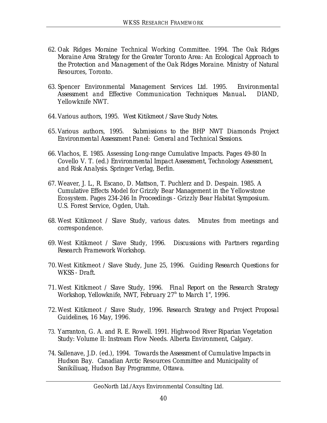- 62. Oak Ridges Moraine Technical Working Committee. 1994. *The Oak Ridges Moraine Area Strategy for the Greater Toronto Area: An Ecological Approach to the Protection and Management of the Oak Ridges Moraine*. Ministry of Natural Resources, Toronto.
- 63. Spencer Environmental Management Services Ltd. 1995*. Environmental Assessment and Effective Communication Techniques Manual***.** DIAND, Yellowknife NWT.
- *64.*Various authors, 1995. *West Kitikmeot / Slave Study Notes.*
- *65.*Various authors, 1995. *Submissions to the BHP NWT Diamonds Project Environmental Assessment Panel: General and Technical Sessions.*
- 66. Vlachos, E. 1985. Assessing Long-range Cumulative Impacts. Pages 49-80 In Covello V. T. (ed.) *Environmental Impact Assessment, Technology Assessment, and Risk Analysis*. Springer Verlag, Berlin.
- 67. Weaver, J. L., R. Escano, D. Mattson, T. Puchlerz and D. Despain. 1985. A Cumulative Effects Model for Grizzly Bear Management in the Yellowstone Ecosystem. Pages 234-246 In *Proceedings - Grizzly Bear Habitat Symposium*. U.S. Forest Service, Ogden, Utah.
- 68. West Kitikmeot / Slave Study, various dates. Minutes from meetings and correspondence.
- 69. West Kitikmeot / Slave Study, 1996. *Discussions with Partners regarding Research Framework Workshop.*
- *70.*West Kitikmeot / Slave Study, June 25, 1996. *Guiding Research Questions for WKSS - Draft.*
- *71.*West Kitikmeot / Slave Study, 1996. *Final Report on the Research Strategy Workshop, Yellowknife, NWT, February 27th to March 1st, 1996.*
- *72.*West Kitikmeot / Slave Study, 1996. *Research Strategy and Project Proposal Guidelines, 16 May, 1996.*
- 73. Yarranton, G. A. and R. E. Rowell. 1991. Highwood River Riparian Vegetation Study: Volume II: Instream Flow Needs. Alberta Environment, Calgary.
- 74. Sallenave, J.D. (ed.), 1994. *Towards the Assessment of Cumulative Impacts in Hudson Bay.* Canadian Arctic Resources Committee and Municipality of Sanikiliuaq, Hudson Bay Programme, Ottawa.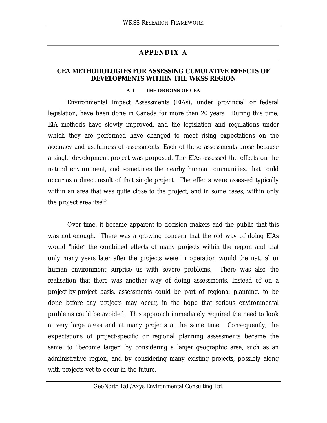### **APPENDIX A**

#### **CEA METHODOLOGIES FOR ASSESSING CUMULATIVE EFFECTS OF DEVELOPMENTS WITHIN THE WKSS REGION**

#### **A-1 THE ORIGINS OF CEA**

Environmental Impact Assessments (EIAs), under provincial or federal legislation, have been done in Canada for more than 20 years. During this time, EIA methods have slowly improved, and the legislation and regulations under which they are performed have changed to meet rising expectations on the accuracy and usefulness of assessments. Each of these assessments arose because a single development project was proposed. The EIAs assessed the effects on the natural environment, and sometimes the nearby human communities, that could occur as a direct result of that *single* project. The effects were assessed typically within an area that was quite close to the project, and in some cases, within only the project area itself.

Over time, it became apparent to decision makers and the public that this was not enough. There was a growing concern that the old way of doing EIAs would "hide" the combined effects of many projects within the region and that only many years later after the projects were in operation would the natural or human environment surprise us with severe problems. There was also the realisation that there was another way of doing assessments. Instead of on a project-by-project basis, assessments could be part of regional planning, to be done *before* any projects may occur, in the hope that serious environmental problems could be avoided. This approach immediately required the need to look at very large areas and at many projects at the same time. Consequently, the expectations of project-specific or regional planning assessments became the same: to "become larger" by considering a larger geographic area, such as an administrative region, and by considering many existing projects, possibly along with projects yet to occur in the future.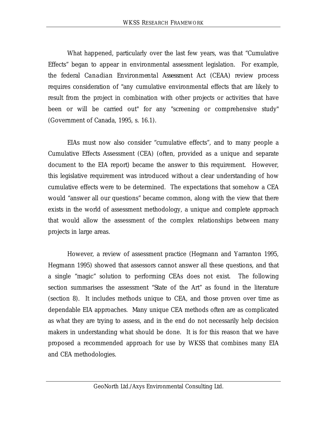What happened, particularly over the last few years, was that "Cumulative Effects" began to appear in environmental assessment legislation. For example, the federal *Canadian Environmental Assessment Act* (CEAA) review process requires consideration of "any cumulative environmental effects that are likely to result from the project in combination with other projects or activities that have been or will be carried out" for any "screening or comprehensive study" (Government of Canada, 1995, s. 16.1).

EIAs must now also consider "cumulative effects", and to many people a Cumulative Effects Assessment (CEA) (often, provided as a unique and separate document to the EIA report) became the answer to this requirement. However, this legislative requirement was introduced without a clear understanding of how cumulative effects were to be determined. The expectations that somehow a CEA would "answer all our questions" became common, along with the view that there exists in the world of assessment methodology, a unique and complete approach that would allow the assessment of the complex relationships between many projects in large areas.

However, a review of assessment practice (Hegmann and Yarranton 1995, Hegmann 1995) showed that assessors cannot answer all these questions, and that a single "magic" solution to performing CEAs does not exist. The following section summarises the assessment "State of the Art" as found in the literature (section 8). It includes methods unique to CEA, and those proven over time as dependable EIA approaches. Many unique CEA methods often are as complicated as what they are trying to assess, and in the end do not necessarily help decision makers in understanding what should be done. It is for this reason that we have proposed a recommended approach for use by WKSS that combines many EIA and CEA methodologies.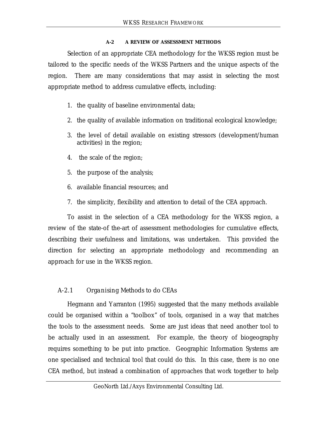#### **A-2 A REVIEW OF ASSESSMENT METHODS**

Selection of an appropriate CEA methodology for the WKSS region must be tailored to the specific needs of the WKSS Partners and the unique aspects of the region. There are many considerations that may assist in selecting the most appropriate method to address cumulative effects, including:

- 1. the quality of baseline environmental data;
- 2. the quality of available information on traditional ecological knowledge;
- 3. the level of detail available on existing stressors (development/human activities) in the region;
- 4. the scale of the region;
- 5. the purpose of the analysis;
- 6. available financial resources; and
- 7. the simplicity, flexibility and attention to detail of the CEA approach.

To assist in the selection of a CEA methodology for the WKSS region, a review of the state-of the-art of assessment methodologies for cumulative effects, describing their usefulness and limitations, was undertaken. This provided the direction for selecting an appropriate methodology and recommending an approach for use in the WKSS region.

# *A-2.1 Organising Methods to do CEAs*

Hegmann and Yarranton (1995) suggested that the many methods available could be organised within a "toolbox" of tools, organised in a way that matches the tools to the assessment needs. Some are just ideas that need another tool to be actually used in an assessment. For example, the theory of biogeography requires something to be put into practice. Geographic Information Systems are one specialised and technical tool that could do this. In this case, there is no *one* CEA method, but instead a *combination* of approaches that work together to help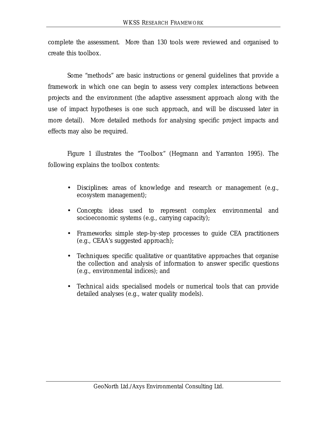complete the assessment. More than 130 tools were reviewed and organised to create this toolbox.

Some "methods" are basic instructions or general guidelines that provide a framework in which one can begin to assess very complex interactions between projects and the environment (the adaptive assessment approach along with the use of impact hypotheses is one such approach, and will be discussed later in more detail). More detailed methods for analysing specific project impacts and effects may also be required.

Figure 1 illustrates the "Toolbox" (Hegmann and Yarranton 1995). The following explains the toolbox contents:

- *Disciplines:* areas of knowledge and research or management (e.g., ecosystem management);
- *Concepts*: ideas used to represent complex environmental and socioeconomic systems (e.g., carrying capacity);
- *Frameworks*: simple step-by-step processes to guide CEA practitioners (e.g., CEAA's suggested approach);
- *Techniques*: specific qualitative or quantitative approaches that organise the collection and analysis of information to answer specific questions (e.g., environmental indices); and
- *Technical aids*: specialised models or numerical tools that can provide detailed analyses (e.g., water quality models).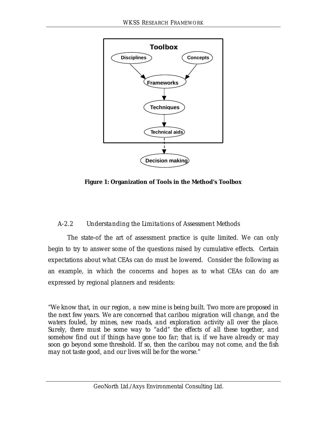

**Figure 1: Organization of Tools in the Method's Toolbox**

## *A-2.2 Understanding the Limitations of Assessment Methods*

The state-of the art of assessment practice is quite limited. We can only begin to try to answer some of the questions raised by cumulative effects. Certain expectations about what CEAs can do must be lowered. Consider the following as an example, in which the concerns and hopes as to what CEAs can do are expressed by regional planners and residents:

*"We know that, in our region, a new mine is being built. Two more are proposed in the next few years. We are concerned that caribou migration will change, and the waters fouled, by mines, new roads, and exploration activity all over the place. Surely, there must be some way to "add" the effects of all these together, and somehow find out if things have gone too far; that is, if we have already or may soon go beyond some threshold. If so, then the caribou may not come, and the fish may not taste good, and our lives will be for the worse."*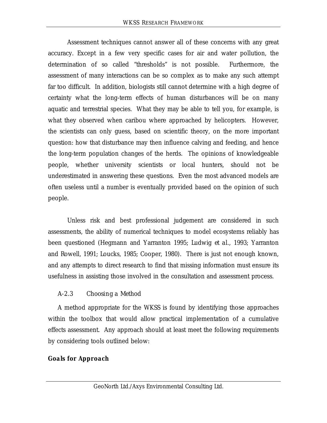Assessment techniques cannot answer all of these concerns with any great accuracy. Except in a few very specific cases for air and water pollution, the determination of so called "thresholds" is not possible. Furthermore, the assessment of many interactions can be so complex as to make any such attempt far too difficult. In addition, biologists still cannot determine with a high degree of certainty what the long-term effects of human disturbances will be on many aquatic and terrestrial species. What they may be able to tell you, for example, is what they observed when caribou where approached by helicopters. However, the scientists can only guess, based on scientific theory, on the more important question: how that disturbance may then influence calving and feeding, and hence the long-term population changes of the herds. The opinions of knowledgeable people, whether university scientists or local hunters, should not be underestimated in answering these questions. Even the most advanced models are often useless until a number is eventually provided based on the opinion of such people.

Unless risk and best professional judgement are considered in such assessments, the ability of numerical techniques to model ecosystems reliably has been questioned (Hegmann and Yarranton 1995; Ludwig *et al.*, 1993; Yarranton and Rowell, 1991; Loucks, 1985; Cooper, 1980). There is just not enough known, and any attempts to direct research to find that missing information must ensure its usefulness in assisting those involved in the consultation and assessment process.

## *A-2.3 Choosing a Method*

A method appropriate for the WKSS is found by identifying those approaches within the toolbox that would allow practical implementation of a cumulative effects assessment. Any approach should at least meet the following requirements by considering tools outlined below:

## *Goals for Approach*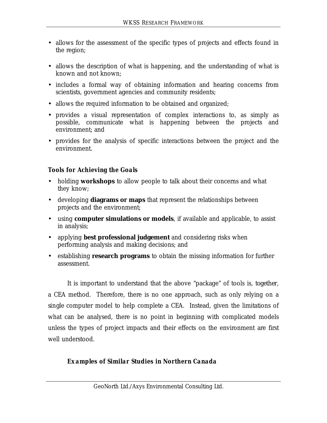- allows for the assessment of the specific types of projects and effects found in the region;
- allows the description of what is happening, and the understanding of what is known and not known;
- includes a formal way of obtaining information and hearing concerns from scientists, government agencies and community residents;
- allows the required information to be obtained and organized;
- provides a visual representation of complex interactions to, as simply as possible, communicate what is happening between the projects and environment; and
- provides for the analysis of specific interactions between the project and the environment.

## *Tools for Achieving the Goals*

- holding **workshops** to allow people to talk about their concerns and what they know;
- developing **diagrams or maps** that represent the relationships between projects and the environment;
- using **computer simulations or models**, if available and applicable, to assist in analysis;
- applying **best professional judgement** and considering risks when performing analysis and making decisions; and
- establishing **research programs** to obtain the missing information for further assessment.

It is important to understand that the above "package" of tools is, *together*, a CEA method. Therefore, there is no one approach, such as only relying on a *single* computer model to help complete a CEA. Instead, given the limitations of what can be analysed, there is no point in beginning with complicated models unless the types of project impacts and their effects on the environment are first well understood.

### *Examples of Similar Studies in Northern Canada*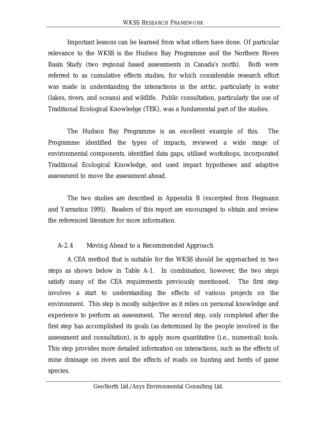Important lessons can be learned from what others have done. Of particular relevance to the WKSS is the Hudson Bay Programme and the Northern Rivers Basin Study (two regional based assessments in Canada's north). Both were referred to as cumulative effects studies, for which considerable research effort was made in understanding the interactions in the arctic, particularly in water (lakes, rivers, and oceans) and wildlife. Public consultation, particularly the use of Traditional Ecological Knowledge (TEK), was a fundamental part of the studies.

The Hudson Bay Programme is an excellent example of this. The Programme identified the types of impacts, reviewed a wide range of environmental components, identified data gaps, utilised workshops, incorporated Traditional Ecological Knowledge, and used impact hypotheses and adaptive assessment to move the assessment ahead.

The two studies are described in Appendix B (excerpted from Hegmann and Yarranton 1995). Readers of this report are encouraged to obtain and review the referenced literature for more information.

## *A-2.4 Moving Ahead to a Recommended Approach*

A CEA method that is suitable for the WKSS should be approached in two steps as shown below in Table A-1. In combination, however, the two steps satisfy many of the CEA requirements previously mentioned. The first step involves a start to understanding the effects of various projects on the environment. This step is mostly subjective as it relies on personal knowledge and experience to perform an assessment. The second step, only completed after the first step has accomplished its goals (as determined by the people involved in the assessment and consultation), is to apply more quantitative (i.e., numerical) tools. This step provides more detailed information on interactions, such as the effects of mine drainage on rivers and the effects of roads on hunting and herds of game species.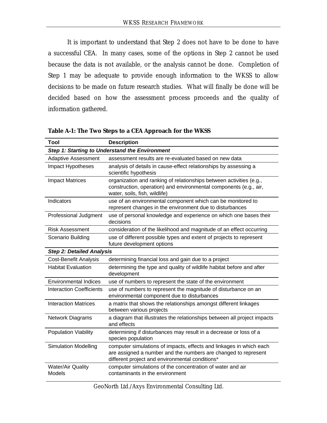It is important to understand that Step 2 does not have to be done to have a successful CEA. In many cases, some of the options in Step 2 cannot be used because the data is not available, or the analysis cannot be done. Completion of Step 1 may be adequate to provide enough information to the WKSS to allow decisions to be made on future research studies. What will finally be done will be decided based on how the assessment process proceeds and the quality of information gathered.

| Tool                                      | <b>Description</b>                                                                                                                                                                       |
|-------------------------------------------|------------------------------------------------------------------------------------------------------------------------------------------------------------------------------------------|
|                                           | Step 1: Starting to Understand the Environment                                                                                                                                           |
| <b>Adaptive Assessment</b>                | assessment results are re-evaluated based on new data                                                                                                                                    |
| Impact Hypotheses                         | analysis of details in cause-effect relationships by assessing a<br>scientific hypothesis                                                                                                |
| <b>Impact Matrices</b>                    | organization and ranking of relationships between activities (e.g.,<br>construction, operation) and environmental components (e.g., air,<br>water, soils, fish, wildlife)                |
| Indicators                                | use of an environmental component which can be monitored to<br>represent changes in the environment due to disturbances                                                                  |
| Professional Judgment                     | use of personal knowledge and experience on which one bases their<br>decisions                                                                                                           |
| Risk Assessment                           | consideration of the likelihood and magnitude of an effect occurring                                                                                                                     |
| Scenario Building                         | use of different possible types and extent of projects to represent<br>future development options                                                                                        |
| <b>Step 2: Detailed Analysis</b>          |                                                                                                                                                                                          |
| <b>Cost-Benefit Analysis</b>              | determining financial loss and gain due to a project                                                                                                                                     |
| <b>Habitat Evaluation</b>                 | determining the type and quality of wildlife habitat before and after<br>development                                                                                                     |
| <b>Environmental Indices</b>              | use of numbers to represent the state of the environment                                                                                                                                 |
| <b>Interaction Coefficients</b>           | use of numbers to represent the magnitude of disturbance on an<br>environmental component due to disturbances                                                                            |
| <b>Interaction Matrices</b>               | a matrix that shows the relationships amongst different linkages<br>between various projects                                                                                             |
| Network Diagrams                          | a diagram that illustrates the relationships between all project impacts<br>and effects                                                                                                  |
| Population Viability                      | determining if disturbances may result in a decrease or loss of a<br>species population                                                                                                  |
| <b>Simulation Modelling</b>               | computer simulations of impacts, effects and linkages in which each<br>are assigned a number and the numbers are changed to represent<br>different project and environmental conditions* |
| <b>Water/Air Quality</b><br><b>Models</b> | computer simulations of the concentration of water and air<br>contaminants in the environment                                                                                            |

**Table A-1: The Two Steps to a CEA Approach for the WKSS**

GeoNorth Ltd./Axys Environmental Consulting Ltd.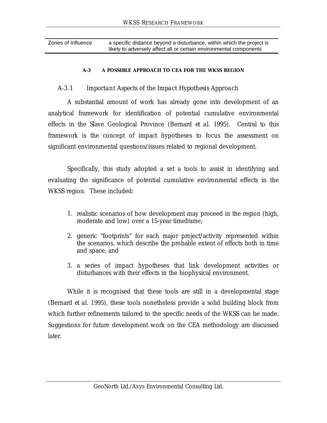| Zones of Influence | a specific distance beyond a disturbance, within which the project is |
|--------------------|-----------------------------------------------------------------------|
|                    | likely to adversely affect all or certain environmental components    |

#### **A-3 A POSSIBLE APPROACH TO CEA FOR THE WKSS REGION**

#### *A-3.1 Important Aspects of the Impact Hypothesis Approach*

A substantial amount of work has already gone into development of an analytical framework for identification of potential cumulative environmental effects in the Slave Geological Province (Bernard *et al*. 1995). Central to this framework is the concept of impact hypotheses to focus the assessment on significant environmental questions/issues related to regional development.

Specifically, this study adopted a set a tools to assist in identifying and evaluating the significance of potential cumulative environmental effects in the WKSS region. These included:

- 1. realistic scenarios of how development may proceed in the region (high, moderate and low) over a 15-year timeframe;
- 2. generic "footprints" for each major project/activity represented within the scenarios, which describe the probable extent of effects both in time and space; and
- 3. a series of impact hypotheses that link development activities or disturbances with their effects in the biophysical environment.

While it is recognised that these tools are still in a developmental stage (Bernard *et al.* 1995), these tools nonetheless provide a solid building block from which further refinements tailored to the specific needs of the WKSS can be made. Suggestions for future development work on the CEA methodology are discussed later.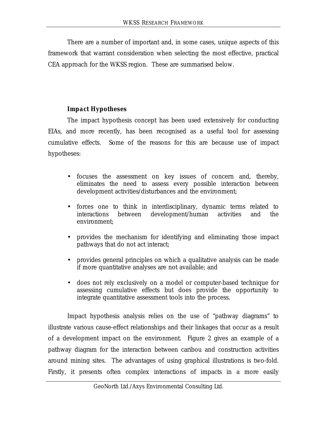There are a number of important and, in some cases, unique aspects of this framework that warrant consideration when selecting the most effective, practical CEA approach for the WKSS region. These are summarised below.

### *Impact Hypotheses*

The impact hypothesis concept has been used extensively for conducting EIAs, and more recently, has been recognised as a useful tool for assessing cumulative effects. Some of the reasons for this are because use of impact hypotheses:

- focuses the assessment on key issues of concern and, thereby, eliminates the need to assess every possible interaction between development activities/disturbances and the environment;
- forces one to think in interdisciplinary, dynamic terms related to interactions between development/human activities and the environment;
- provides the mechanism for identifying and eliminating those impact pathways that do not act interact;
- provides general principles on which a qualitative analysis can be made if more quantitative analyses are not available; and
- does not rely exclusively on a model or computer-based technique for assessing cumulative effects but does provide the opportunity to integrate quantitative assessment tools into the process.

Impact hypothesis analysis relies on the use of "pathway diagrams" to illustrate various cause-effect relationships and their linkages that occur as a result of a development impact on the environment. Figure 2 gives an example of a pathway diagram for the interaction between caribou and construction activities around mining sites. The advantages of using graphical illustrations is two-fold. Firstly, it presents often complex interactions of impacts in a more easily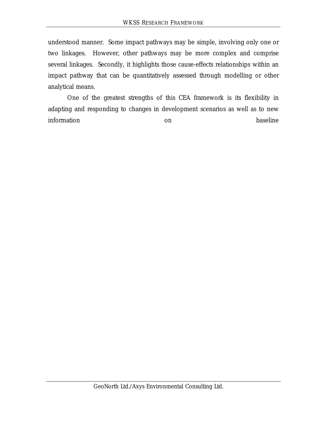understood manner. Some impact pathways may be simple, involving only one or two linkages. However, other pathways may be more complex and comprise several linkages. Secondly, it highlights those cause-effects relationships within an impact pathway that can be quantitatively assessed through modelling or other analytical means.

One of the greatest strengths of this CEA framework is its flexibility in adapting and responding to changes in development scenarios as well as to new information on baseline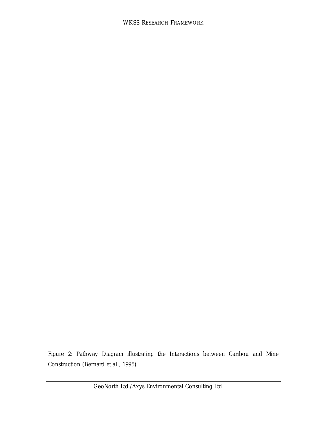Figure 2: Pathway Diagram illustrating the Interactions between Caribou and Mine Construction (Bernard *et al.*, 1995)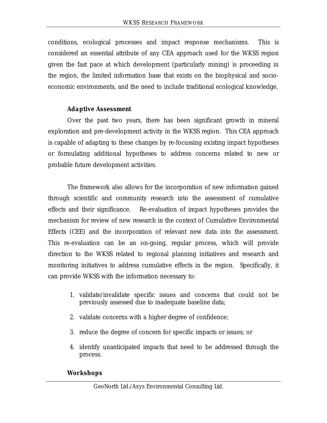conditions, ecological processes and impact response mechanisms. This is considered an essential attribute of any CEA approach used for the WKSS region given the fast pace at which development (particularly mining) is proceeding in the region, the limited information base that exists on the biophysical and socioeconomic environments, and the need to include traditional ecological knowledge.

### *Adaptive Assessment*

Over the past two years, there has been significant growth in mineral exploration and pre-development activity in the WKSS region. This CEA approach is capable of adapting to these changes by re-focussing existing impact hypotheses or formulating additional hypotheses to address concerns related to new or probable future development activities.

The framework also allows for the incorporation of new information gained through scientific and community research into the assessment of cumulative effects and their significance. Re-evaluation of impact hypotheses provides the mechanism for review of new research in the context of Cumulative Environmental Effects (CEE) and the incorporation of relevant new data into the assessment. This re-evaluation can be an on-going, regular process, which will provide direction to the WKSS related to regional planning initiatives and research and monitoring initiatives to address cumulative effects in the region. Specifically, it can provide WKSS with the information necessary to:

- 1. validate/invalidate specific issues and concerns that could not be previously assessed due to inadequate baseline data;
- 2. validate concerns with a higher degree of confidence;
- 3. reduce the degree of concern for specific impacts or issues; or
- 4. identify unanticipated impacts that need to be addressed through the process.

### *Workshops*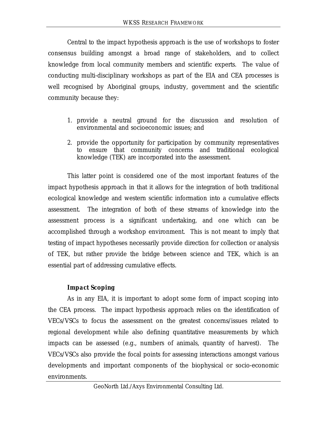Central to the impact hypothesis approach is the use of workshops to foster consensus building amongst a broad range of stakeholders, and to collect knowledge from local community members and scientific experts. The value of conducting multi-disciplinary workshops as part of the EIA and CEA processes is well recognised by Aboriginal groups, industry, government and the scientific community because they:

- 1. provide a neutral ground for the discussion and resolution of environmental and socioeconomic issues; and
- 2. provide the opportunity for participation by community representatives to ensure that community concerns and traditional ecological knowledge (TEK) are incorporated into the assessment.

This latter point is considered one of the most important features of the impact hypothesis approach in that it allows for the integration of both traditional ecological knowledge and western scientific information into a cumulative effects assessment. The integration of both of these streams of knowledge into the assessment process is a significant undertaking, and one which can be accomplished through a workshop environment. This is not meant to imply that testing of impact hypotheses necessarily provide direction for collection or analysis of TEK, but rather provide the bridge between science and TEK, which is an essential part of addressing cumulative effects.

## *Impact Scoping*

As in any EIA, it is important to adopt some form of impact scoping into the CEA process. The impact hypothesis approach relies on the identification of VECs/VSCs to focus the assessment on the greatest concerns/issues related to regional development while also defining quantitative measurements by which impacts can be assessed (e.g., numbers of animals, quantity of harvest). The VECs/VSCs also provide the focal points for assessing interactions amongst various developments and important components of the biophysical or socio-economic environments.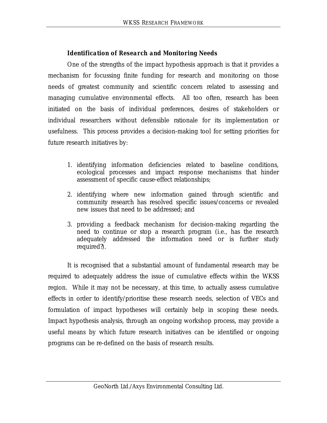## *Identification of Research and Monitoring Needs*

One of the strengths of the impact hypothesis approach is that it provides a mechanism for focussing finite funding for research and monitoring on those needs of greatest community and scientific concern related to assessing and managing cumulative environmental effects. All too often, research has been initiated on the basis of individual preferences, desires of stakeholders or individual researchers without defensible rationale for its implementation or usefulness. This process provides a decision-making tool for setting priorities for future research initiatives by:

- 1. identifying information deficiencies related to baseline conditions, ecological processes and impact response mechanisms that hinder assessment of specific cause-effect relationships;
- 2. identifying where new information gained through scientific and community research has resolved specific issues/concerns or revealed new issues that need to be addressed; and
- 3. providing a feedback mechanism for decision-making regarding the need to continue or stop a research program (i.e., has the research adequately addressed the information need or is further study required?).

It is recognised that a substantial amount of fundamental research may be required to adequately address the issue of cumulative effects within the WKSS region. While it may not be necessary, at this time, to actually assess cumulative effects in order to identify/prioritise these research needs, selection of VECs and formulation of impact hypotheses will certainly help in scoping these needs. Impact hypothesis analysis, through an ongoing workshop process, may provide a useful means by which future research initiatives can be identified or ongoing programs can be re-defined on the basis of research results.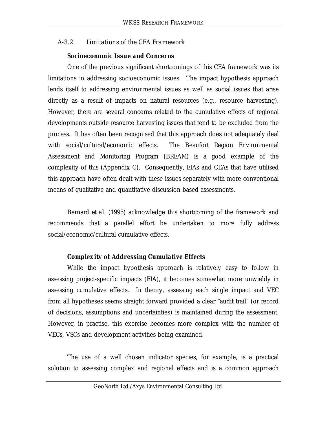#### *A-3.2 Limitations of the CEA Framework*

#### *Socioeconomic Issue and Concerns*

One of the previous significant shortcomings of this CEA framework was its limitations in addressing socioeconomic issues. The impact hypothesis approach lends itself to addressing environmental issues as well as social issues that arise directly as a result of impacts on natural resources (e.g., resource harvesting). However, there are several concerns related to the cumulative effects of regional developments outside resource harvesting issues that tend to be excluded from the process. It has often been recognised that this approach does not adequately deal with social/cultural/economic effects. The Beaufort Region Environmental Assessment and Monitoring Program (BREAM) is a good example of the complexity of this (Appendix C). Consequently, EIAs and CEAs that have utilised this approach have often dealt with these issues separately with more conventional means of qualitative and quantitative discussion-based assessments.

Bernard *et al.* (1995) acknowledge this shortcoming of the framework and recommends that a parallel effort be undertaken to more fully address social/economic/cultural cumulative effects.

#### *Complexity of Addressing Cumulative Effects*

While the impact hypothesis approach is relatively easy to follow in assessing project-specific impacts (EIA), it becomes somewhat more unwieldy in assessing cumulative effects. In theory, assessing each single impact and VEC from all hypotheses seems straight forward provided a clear "audit trail" (or record of decisions, assumptions and uncertainties) is maintained during the assessment. However, in practise, this exercise becomes more complex with the number of VECs, VSCs and development activities being examined.

The use of a well chosen indicator species, for example, is a practical solution to assessing complex and regional effects and is a common approach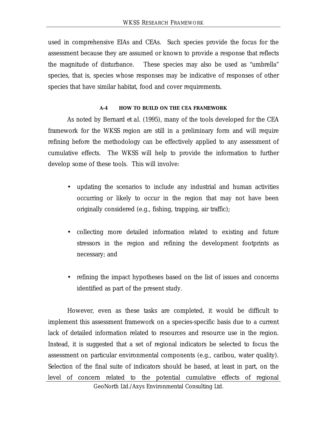used in comprehensive EIAs and CEAs. Such species provide the focus for the assessment because they are assumed or known to provide a response that reflects the magnitude of disturbance. These species may also be used as "umbrella" species, that is, species whose responses may be indicative of responses of other species that have similar habitat, food and cover requirements.

#### **A-4 HOW TO BUILD ON THE CEA FRAMEWORK**

As noted by Bernard *et al.* (1995), many of the tools developed for the CEA framework for the WKSS region are still in a preliminary form and will require refining before the methodology can be effectively applied to any assessment of cumulative effects. The WKSS will help to provide the information to further develop some of these tools. This will involve:

- updating the scenarios to include any industrial and human activities occurring or likely to occur in the region that may not have been originally considered (e.g., fishing, trapping, air traffic);
- collecting more detailed information related to existing and future stressors in the region and refining the development footprints as necessary; and
- refining the impact hypotheses based on the list of issues and concerns identified as part of the present study.

However, even as these tasks are completed, it would be difficult to implement this assessment framework on a species-specific basis due to a current lack of detailed information related to resources and resource use in the region. Instead, it is suggested that a set of regional indicators be selected to focus the assessment on particular environmental components (e.g., caribou, water quality). Selection of the final suite of indicators should be based, at least in part, on the level of concern related to the potential cumulative effects of regional

GeoNorth Ltd./Axys Environmental Consulting Ltd.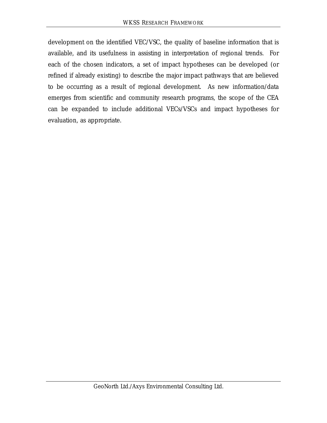development on the identified VEC/VSC, the quality of baseline information that is available, and its usefulness in assisting in interpretation of regional trends. For each of the chosen indicators, a set of impact hypotheses can be developed (or refined if already existing) to describe the major impact pathways that are believed to be occurring as a result of regional development. As new information/data emerges from scientific and community research programs, the scope of the CEA can be expanded to include additional VECs/VSCs and impact hypotheses for evaluation, as appropriate.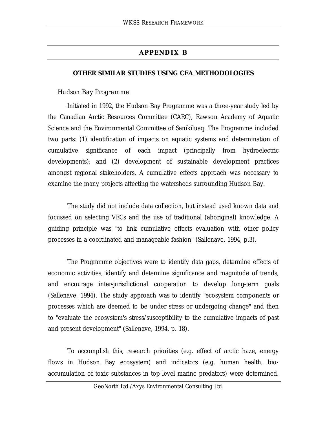## **APPENDIX B**

#### **OTHER SIMILAR STUDIES USING CEA METHODOLOGIES**

#### *Hudson Bay Programme*

Initiated in 1992, the Hudson Bay Programme was a three-year study led by the Canadian Arctic Resources Committee (CARC), Rawson Academy of Aquatic Science and the Environmental Committee of Sanikiluaq. The Programme included two parts: (1) identification of impacts on aquatic systems and determination of cumulative significance of each impact (principally from hydroelectric developments); and (2) development of sustainable development practices amongst regional stakeholders. A cumulative effects approach was necessary to examine the many projects affecting the watersheds surrounding Hudson Bay.

The study did not include data collection, but instead used known data and focussed on selecting VECs and the use of traditional (aboriginal) knowledge. A guiding principle was "to link cumulative effects evaluation with other policy processes in a coordinated and manageable fashion" (Sallenave, 1994, p.3).

The Programme objectives were to identify data gaps, determine effects of economic activities, identify and determine significance and magnitude of trends, and encourage inter-jurisdictional cooperation to develop long-term goals (Sallenave, 1994). The study approach was to identify "ecosystem components or processes which are deemed to be under stress or undergoing change" and then to "evaluate the ecosystem's stress/susceptibility to the cumulative impacts of past and present development" (Sallenave, 1994, p. 18).

To accomplish this, research priorities (e.g. effect of arctic haze, energy flows in Hudson Bay ecosystem) and indicators (e.g. human health, bioaccumulation of toxic substances in top-level marine predators) were determined.

GeoNorth Ltd./Axys Environmental Consulting Ltd.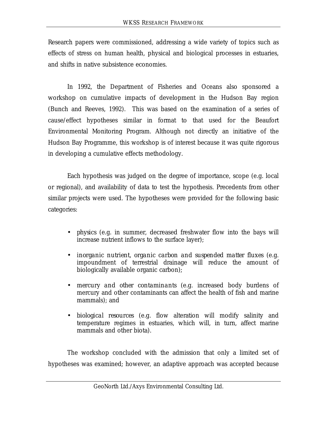Research papers were commissioned, addressing a wide variety of topics such as effects of stress on human health, physical and biological processes in estuaries, and shifts in native subsistence economies.

In 1992, the Department of Fisheries and Oceans also sponsored a workshop on cumulative impacts of development in the Hudson Bay region (Bunch and Reeves, 1992). This was based on the examination of a series of cause/effect hypotheses similar in format to that used for the Beaufort Environmental Monitoring Program. Although not directly an initiative of the Hudson Bay Programme, this workshop is of interest because it was quite rigorous in developing a cumulative effects methodology.

Each hypothesis was judged on the degree of importance, scope (e.g. local or regional), and availability of data to test the hypothesis. Precedents from other similar projects were used. The hypotheses were provided for the following basic categories:

- *physics* (e.g. in summer, decreased freshwater flow into the bays will increase nutrient inflows to the surface layer);
- *inorganic nutrient, organic carbon and suspended matter fluxes* (e.g. impoundment of terrestrial drainage will reduce the amount of biologically available organic carbon);
- *mercury and other contaminants* (e.g. increased body burdens of mercury and other contaminants can affect the health of fish and marine mammals); and
- *biological resources* (e.g. flow alteration will modify salinity and temperature regimes in estuaries, which will, in turn, affect marine mammals and other biota).

The workshop concluded with the admission that only a limited set of hypotheses was examined; however, an adaptive approach was accepted because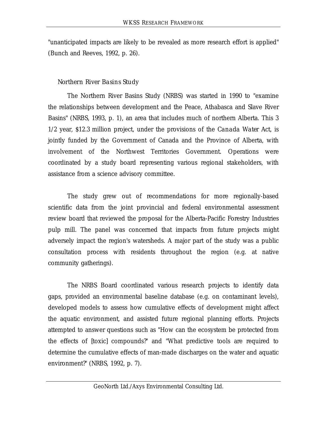"unanticipated impacts are likely to be revealed as more research effort is applied" (Bunch and Reeves, 1992, p. 26).

#### *Northern River Basins Study*

The Northern River Basins Study (NRBS) was started in 1990 to "examine the relationships between development and the Peace, Athabasca and Slave River Basins" (NRBS, 1993, p. 1), an area that includes much of northern Alberta. This 3 1/2 year, \$12.3 million project, under the provisions of the *Canada Water Act*, is jointly funded by the Government of Canada and the Province of Alberta, with involvement of the Northwest Territories Government. Operations were coordinated by a study board representing various regional stakeholders, with assistance from a science advisory committee.

The study grew out of recommendations for more regionally-based scientific data from the joint provincial and federal environmental assessment review board that reviewed the proposal for the Alberta-Pacific Forestry Industries pulp mill. The panel was concerned that impacts from future projects might adversely impact the region's watersheds. A major part of the study was a public consultation process with residents throughout the region (e.g. at native community gatherings).

The NRBS Board coordinated various research projects to identify data gaps, provided an environmental baseline database (e.g. on contaminant levels), developed models to assess how cumulative effects of development might affect the aquatic environment, and assisted future regional planning efforts. Projects attempted to answer questions such as "How can the ecosystem be protected from the effects of [toxic] compounds?" and "What predictive tools are required to determine the cumulative effects of man-made discharges on the water and aquatic environment?" (NRBS, 1992, p. 7).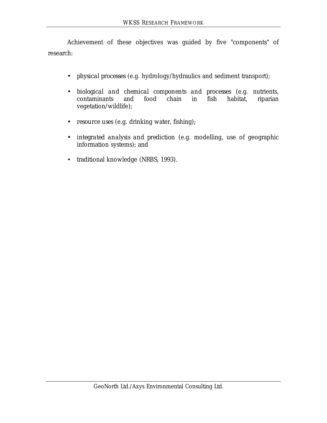Achievement of these objectives was guided by five "components" of research:

- *physical processes* (e.g. hydrology/hydraulics and sediment transport);
- *biological and chemical components and processes* (e.g. nutrients, contaminants and food chain in fish habitat, riparian vegetation/wildlife);
- *resource uses* (e.g. drinking water, fishing);
- *integrated analysis and prediction* (e.g. modelling, use of geographic information systems); and
- traditional knowledge (NRBS, 1993).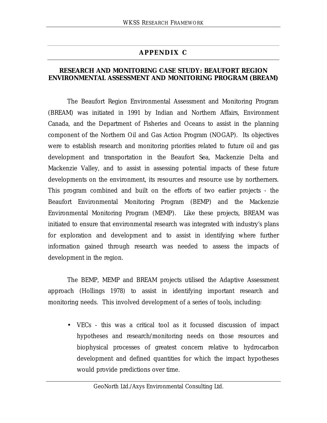## **APPENDIX C**

#### **RESEARCH AND MONITORING CASE STUDY: BEAUFORT REGION ENVIRONMENTAL ASSESSMENT AND MONITORING PROGRAM (BREAM)**

The Beaufort Region Environmental Assessment and Monitoring Program (BREAM) was initiated in 1991 by Indian and Northern Affairs, Environment Canada, and the Department of Fisheries and Oceans to assist in the planning component of the Northern Oil and Gas Action Program (NOGAP). Its objectives were to establish research and monitoring priorities related to future oil and gas development and transportation in the Beaufort Sea, Mackenzie Delta and Mackenzie Valley, and to assist in assessing potential impacts of these future developments on the environment, its resources and resource use by northerners. This program combined and built on the efforts of two earlier projects - the Beaufort Environmental Monitoring Program (BEMP) and the Mackenzie Environmental Monitoring Program (MEMP). Like these projects, BREAM was initiated to ensure that environmental research was integrated with industry's plans for exploration and development and to assist in identifying where further information gained through research was needed to assess the impacts of development in the region.

The BEMP, MEMP and BREAM projects utilised the Adaptive Assessment approach (Hollings 1978) to assist in identifying important research and monitoring needs. This involved development of a series of tools, including:

• VECs - this was a critical tool as it focussed discussion of impact hypotheses and research/monitoring needs on those resources and biophysical processes of greatest concern relative to hydrocarbon development and defined quantities for which the impact hypotheses would provide predictions over time.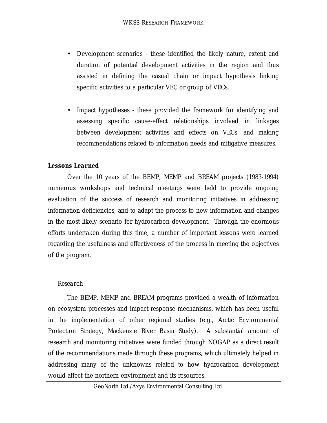- Development scenarios these identified the likely nature, extent and duration of potential development activities in the region and thus assisted in defining the casual chain or impact hypothesis linking specific activities to a particular VEC or group of VECs.
- Impact hypotheses these provided the framework for identifying and assessing specific cause-effect relationships involved in linkages between development activities and effects on VECs, and making recommendations related to information needs and mitigative measures.

### *Lessons Learned*

Over the 10 years of the BEMP, MEMP and BREAM projects (1983-1994) numerous workshops and technical meetings were held to provide ongoing evaluation of the success of research and monitoring initiatives in addressing information deficiencies, and to adapt the process to new information and changes in the most likely scenario for hydrocarbon development. Through the enormous efforts undertaken during this time, a number of important lessons were learned regarding the usefulness and effectiveness of the process in meeting the objectives of the program.

### *Research*

The BEMP, MEMP and BREAM programs provided a wealth of information on ecosystem processes and impact response mechanisms, which has been useful in the implementation of other regional studies (e.g., Arctic Environmental Protection Strategy, Mackenzie River Basin Study). A substantial amount of research and monitoring initiatives were funded through NOGAP as a direct result of the recommendations made through these programs, which ultimately helped in addressing many of the unknowns related to how hydrocarbon development would affect the northern environment and its resources.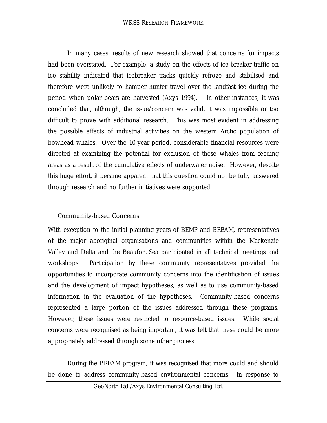In many cases, results of new research showed that concerns for impacts had been overstated. For example, a study on the effects of ice-breaker traffic on ice stability indicated that icebreaker tracks quickly refroze and stabilised and therefore were unlikely to hamper hunter travel over the landfast ice during the period when polar bears are harvested (Axys 1994). In other instances, it was concluded that, although, the issue/concern was valid, it was impossible or too difficult to prove with additional research. This was most evident in addressing the possible effects of industrial activities on the western Arctic population of bowhead whales. Over the 10-year period, considerable financial resources were directed at examining the potential for exclusion of these whales from feeding areas as a result of the cumulative effects of underwater noise. However, despite this huge effort, it became apparent that this question could not be fully answered through research and no further initiatives were supported.

## *Community-based Concerns*

With exception to the initial planning years of BEMP and BREAM, representatives of the major aboriginal organisations and communities within the Mackenzie Valley and Delta and the Beaufort Sea participated in all technical meetings and workshops. Participation by these community representatives provided the opportunities to incorporate community concerns into the identification of issues and the development of impact hypotheses, as well as to use community-based information in the evaluation of the hypotheses. Community-based concerns represented a large portion of the issues addressed through these programs. However, these issues were restricted to resource-based issues. While social concerns were recognised as being important, it was felt that these could be more appropriately addressed through some other process.

During the BREAM program, it was recognised that more could and should be done to address community-based environmental concerns. In response to

GeoNorth Ltd./Axys Environmental Consulting Ltd.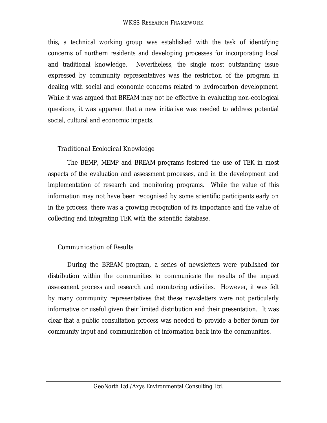this, a technical working group was established with the task of identifying concerns of northern residents and developing processes for incorporating local and traditional knowledge. Nevertheless, the single most outstanding issue expressed by community representatives was the restriction of the program in dealing with social and economic concerns related to hydrocarbon development. While it was argued that BREAM may not be effective in evaluating non-ecological questions, it was apparent that a new initiative was needed to address potential social, cultural and economic impacts.

## *Traditional Ecological Knowledge*

The BEMP, MEMP and BREAM programs fostered the use of TEK in most aspects of the evaluation and assessment processes, and in the development and implementation of research and monitoring programs. While the value of this information may not have been recognised by some scientific participants early on in the process, there was a growing recognition of its importance and the value of collecting and integrating TEK with the scientific database.

## *Communication of Results*

During the BREAM program, a series of newsletters were published for distribution within the communities to communicate the results of the impact assessment process and research and monitoring activities. However, it was felt by many community representatives that these newsletters were not particularly informative or useful given their limited distribution and their presentation. It was clear that a public consultation process was needed to provide a better forum for community input and communication of information back into the communities.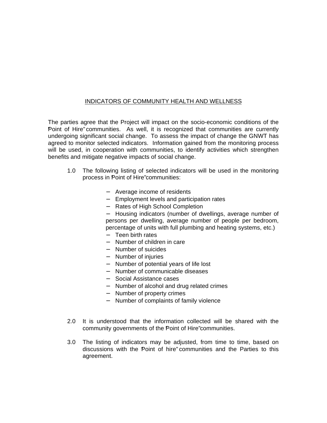#### INDICATORS OF COMMUNITY HEALTH AND WELLNESS

The parties agree that the Project will impact on the socio-economic conditions of the Point of Hire" communities. As well, it is recognized that communities are currently undergoing significant social change. To assess the impact of change the GNWT has agreed to monitor selected indicators. Information gained from the monitoring process will be used, in cooperation with communities, to identify activities which strengthen benefits and mitigate negative impacts of social change.

- 1.0 The following listing of selected indicators will be used in the monitoring process in Point of Hire" communities:
	- − Average income of residents
	- − Employment levels and participation rates
	- − Rates of High School Completion

− Housing indicators (number of dwellings, average number of persons per dwelling, average number of people per bedroom, percentage of units with full plumbing and heating systems, etc.)

- − Teen birth rates
- − Number of children in care
- − Number of suicides
- − Number of injuries
- − Number of potential years of life lost
- − Number of communicable diseases
- − Social Assistance cases
- − Number of alcohol and drug related crimes
- − Number of property crimes
- − Number of complaints of family violence
- 2.0 It is understood that the information collected will be shared with the community governments of the Point of Hire" communities.
- 3.0 The listing of indicators may be adjusted, from time to time, based on discussions with the Point of hire" communities and the Parties to this agreement.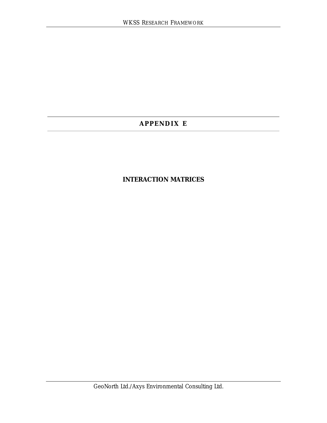## **APPENDIX E**

## **INTERACTION MATRICES**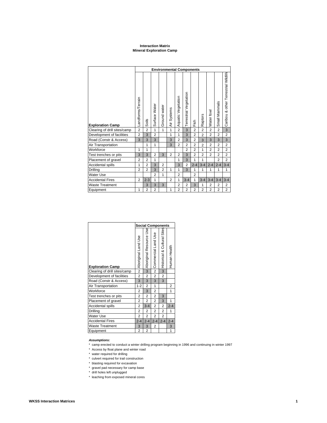#### **Interaction Matrix Mineral Exploration Camp**

|                              |                   | <b>Environmental Components</b> |                |                |                |                    |                        |                |                |                |                |                                      |
|------------------------------|-------------------|---------------------------------|----------------|----------------|----------------|--------------------|------------------------|----------------|----------------|----------------|----------------|--------------------------------------|
| <b>Exploration Camp</b>      | Landforms/Terrain | Soils                           | Surface Water  | Ground water   | Systems<br>Αir | Aquatic Vegetation | Terrestrial Vegetation | Fish           | Raptors        | Water fow      | Small Mammals  | Caribou & other Terrestrial Wildlife |
| Clearing of drill sites/camp | $\overline{2}$    | $\overline{2}$                  | 1              | $\mathbf{1}$   | 1              | $\overline{2}$     | 3                      | $\overline{2}$ | $\overline{2}$ | $\overline{2}$ | $\overline{2}$ | 3                                    |
| Development of facilities    | $\overline{2}$    | 3                               | $\overline{2}$ |                | 1              | 1                  | 3                      | $\overline{2}$ | $\overline{2}$ | $\overline{2}$ | $\overline{2}$ | $\overline{2}$                       |
| Road (Constr & Access)       | 3                 | 3                               | 3              |                | 3              | $\overline{2}$     | 3                      | $\overline{2}$ | 3              | 3              | 3              | 3                                    |
| Air Transportation           |                   | 1                               | 1              |                | 3              | $\overline{2}$     | $\overline{2}$         | $\overline{2}$ | $\overline{2}$ | $\overline{2}$ | $\overline{2}$ | $\overline{2}$                       |
| Workforce                    | 1                 | 1                               |                |                |                |                    | $\overline{2}$         | $\overline{2}$ | 1              | $\overline{2}$ | $\overline{2}$ | $\overline{2}$                       |
| Test trenches or pits        | 3                 | 3                               | $\overline{2}$ | 3              | $\overline{2}$ | $\overline{2}$     | 3                      | $\overline{2}$ | $\overline{2}$ | $\overline{2}$ | $\overline{2}$ | $\overline{c}$                       |
| Placement of gravel          | $\overline{2}$    | $\overline{2}$                  | 1              |                |                | 1                  | 3                      | 1              | 1              |                | $\overline{2}$ | $\overline{2}$                       |
| Accidental spills            | 1                 | $\overline{2}$                  | 3              | $\overline{2}$ |                | 3                  | $\overline{2}$         | $2 - 4$        | $3 - 4$        | $2 - 4$        | $2 - 4$        | $3 - 4$                              |
| Drilling                     | $\overline{2}$    | $\overline{2}$                  | 3              | $\overline{2}$ | 1              | 1                  | 3                      | 1              | $\mathbf{1}$   | 1              | 1              | $\mathbf{1}$                         |
| <b>Water Use</b>             |                   |                                 | $\overline{2}$ | 1              |                | $\overline{2}$     |                        | $\overline{2}$ |                |                |                |                                      |
| <b>Accidental Fires</b>      | 2                 | $2 - 3$                         | 1              |                | $\overline{2}$ | 1                  | $3 - 4$                | 1              | $3 - 4$        | $3 - 4$        | $3 - 4$        | $3 - 4$                              |
| <b>Waste Treatment</b>       |                   | 3                               | 3              | 3              |                | $\overline{2}$     | $\overline{2}$         | 3              | 1              | 2              | $\overline{2}$ | $\overline{2}$                       |
| Equipment                    | 1                 | $\overline{2}$                  | $\overline{2}$ |                | 1              | $\overline{2}$     | $\overline{2}$         | $\overline{2}$ | $\overline{2}$ | $\overline{2}$ | $\overline{2}$ | $\overline{2}$                       |

|                              | <b>Social Components</b> |                           |                     |                             |                |  |
|------------------------------|--------------------------|---------------------------|---------------------|-----------------------------|----------------|--|
| <b>Exploration Camp</b>      | Aboriginal Land Use      | w Aboriginal Resource Use | Commercial Land Use | Historical & Cultural Sites | Human Health   |  |
| Clearing of drill sites/camp | $\overline{\mathbf{c}}$  |                           | $\overline{c}$      | $\mathbf{3}$                |                |  |
| Development of facilities    | $\overline{2}$           | $\overline{2}$            | $\overline{2}$      | $\overline{2}$              |                |  |
| Road (Constr & Access)       | 3                        | 3                         | 3                   | 3                           |                |  |
| Air Transportation           | $1 - 2$                  | $\overline{2}$            | 1                   |                             | 2              |  |
| Workforce                    | $\overline{2}$           | 3                         | $\overline{2}$      |                             | 1              |  |
| Test trenches or pits        | $\overline{2}$           | $\overline{2}$            | $\overline{2}$      | 3                           |                |  |
| Placement of gravel          | 2                        | 2                         | $\overline{2}$      | 3                           | 1              |  |
| Accidental spills            | $\overline{2}$           | $3 - 4$                   | $\overline{c}$      | $\overline{c}$              | $2 - 4$        |  |
| Drilling                     | $\overline{2}$           | $\overline{2}$            | $\overline{c}$      | $\overline{c}$              | 1              |  |
| <b>Water Use</b>             | $\overline{2}$           | $\overline{2}$            | $\overline{2}$      | $\overline{2}$              |                |  |
| <b>Accidental Fires</b>      | $2 - 4$                  | $2 - 4$                   | $2 - 4$             | $2 - 4$                     | $2 - 4$        |  |
| <b>Waste Treatment</b>       | 3                        | 3                         | 2                   |                             | 3              |  |
| Equipment                    | $\overline{c}$           | $\overline{c}$            |                     |                             | $\overline{1}$ |  |

#### **Assumptions:**

\* camp erected to conduct a winter drilling program beginning in 1996 and continuing in winter 1997

- \* Access by float plane and winter road
- \* water required for drilling
- \* culvert required for trail construction
- \* blasting required for excavation
- \* gravel pad necessary for camp base
- \* drill holes left unplugged
- \* leaching from exposed mineral cores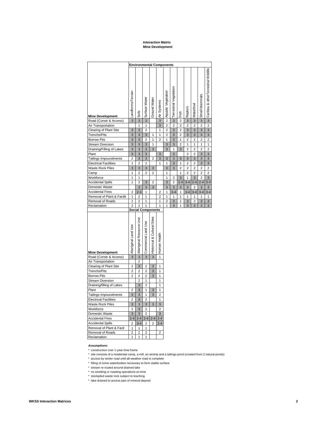### **Interaction Matrix Mine Development**

| <b>Environmental Components</b> |                     |                                  |                         |                                  |                |                    |                       |                |                |                         |                  |                                     |
|---------------------------------|---------------------|----------------------------------|-------------------------|----------------------------------|----------------|--------------------|-----------------------|----------------|----------------|-------------------------|------------------|-------------------------------------|
| <b>Mine Development</b>         | Landforms/Terrain   | Soils                            | Surface Water           | Ground Water                     | Air Systems    | Aquatic Vegetation | errestrial Vegetation | isi<br>Fisi    | Raptors        | Waterfowl               | Mammals<br>Small | Caribou & otherTerrestrial Wildlife |
| Road (Constr & Access)          | $\overline{3}$      | 3                                | 3                       |                                  | 3              | $\overline{c}$     | $\overline{3}$        | $\overline{c}$ | 3              | $\overline{3}$          | 3                | 3                                   |
| Air Transportation              |                     | 1                                | 1                       |                                  | 3              | $\overline{c}$     | $\overline{2}$        | 2              | $\overline{2}$ | $\overline{2}$          | $\overline{2}$   | $\overline{c}$                      |
| Clearing of Plant Site          | 3                   | 3                                | $\overline{c}$          |                                  | 1              | 2                  | 3                     | 2              | 3              | 3                       | 3                | 3                                   |
| <b>Trenchs/Pits</b>             | 3                   | 3                                | 3                       | 1                                | 1              | $\overline{c}$     | 3                     | $\overline{2}$ | 3              | 3                       | 3                | 3                                   |
| <b>Borrow Pits</b>              | 3                   | 3                                | $\overline{c}$          | 1                                | $\overline{2}$ | 1                  | 3                     | 1              | 2              | $\overline{c}$          | 2                | $\overline{2}$                      |
| <b>Stream Diversion</b>         | 3                   | 3                                | 3                       | 1                                |                | 3                  | 3                     | $\overline{2}$ | 1              | 1                       | 1                | 1                                   |
| Draining/Filling of Lakes       | 3                   | 3                                | 3                       | 3                                |                | 3                  | 1                     | 3              | $\overline{2}$ | $\overline{c}$          | $\overline{2}$   | $\overline{2}$                      |
| Plant                           | 3                   | 3                                | 3                       |                                  | 3              |                    | 3                     |                | $\overline{2}$ | $\overline{2}$          | 3                | 3                                   |
| Tailings Impoundments           | $\overline{c}$      | 3                                | 3                       | $\overline{2}$                   | 3              | 3                  | 3                     | 3              | 3              | 3                       | 3                | 3                                   |
| <b>Electrical Facilities</b>    | 1                   | $\overline{2}$                   | $\overline{c}$          |                                  | 1              | 1                  | 3                     | 1              | $\overline{2}$ | $\overline{c}$          | 3                | 3                                   |
| <b>Waste Rock Piles</b>         | 3                   | 3                                | 3                       | 3                                |                | 3                  | 3                     | $\overline{2}$ | $\overline{2}$ | $\overline{2}$          | $\overline{2}$   | $\overline{2}$                      |
| Camp                            | 1                   | $\overline{2}$                   | $\overline{c}$          | $\overline{2}$                   |                | 1                  |                       | 1              | $\overline{2}$ | $\overline{2}$          | $\overline{2}$   | $\overline{2}$                      |
| Workforce                       | 1                   | 1                                |                         |                                  |                | 1                  | 2                     | 3              | 1              | 3                       | $\overline{c}$   | 3                                   |
| <b>Accidental Spills</b>        | $\overline{1}$      | $\overline{2}$                   | 3                       | $\overline{2}$                   |                | $\overline{3}$     | $\overline{2}$        | $2 - 4$        | $3 - 4$        | $2 - 4$                 | $2 - 4$          | $3 - 4$                             |
| Domestic Waste                  |                     | 3                                | 3                       | 3                                |                | 3                  | 3                     | 3              | 3              | $\overline{c}$          | 3                | 3                                   |
| <b>Accidental Fires</b>         | $\overline{2}$      | $2 - 3$                          | 1                       |                                  | 2              | 1                  | $3 - 4$               | 1              | $3 - 4$        | $3 - 4$                 | $3 - 4$          | $3 - 4$                             |
| Removal of Plant & Facilit      | 1                   | 2                                | 1                       |                                  | $\overline{2}$ | 1                  | 1                     | 1              | 1              | 1                       | 1                | 1                                   |
| Removal of Roads                | 1                   | $\overline{c}$                   | 1                       |                                  | 1              | $\overline{c}$     | 3                     | 1              | 3              | $\overline{\mathbf{c}}$ | 3                | 3                                   |
| Reclamation                     | $\overline{2}$      | $\overline{2}$                   | 1                       |                                  | 1              | 1                  | 3                     | 1              | 3              | 3                       | 3                | 3                                   |
|                                 |                     | <b>Social Components</b>         |                         |                                  |                |                    |                       |                |                |                         |                  |                                     |
| <b>Mine Development</b>         | Aboriginal Land Use | Resource Use                     | <b>Se</b>               | Sites                            |                |                    |                       |                |                |                         |                  |                                     |
| Road (Constr & Access)          |                     | Aboriginal                       | Commercial Land         | <b>Historical &amp; Cultural</b> | Human Health   |                    |                       |                |                |                         |                  |                                     |
|                                 | 3                   | 3                                | 3                       | 3                                | 1              |                    |                       |                |                |                         |                  |                                     |
| Air Transportation              |                     | $\overline{2}$                   |                         |                                  |                |                    |                       |                |                |                         |                  |                                     |
| Clearing of Plant Site          | $\overline{c}$      | 3                                | $\overline{c}$          | 3                                | 1              |                    |                       |                |                |                         |                  |                                     |
| <b>Trenchs/Pits</b>             | $\overline{2}$      | $\overline{c}$                   | $\overline{2}$          | 3                                | 1              |                    |                       |                |                |                         |                  |                                     |
| <b>Borrow Pits</b>              | $\overline{2}$      | $\overline{2}$                   | $\overline{2}$          | 3                                | 1              |                    |                       |                |                |                         |                  |                                     |
| <b>Stream Diversion</b>         |                     | $\overline{2}$                   | 1                       |                                  | 1              |                    |                       |                |                |                         |                  |                                     |
| Draining/filling of Lakes       |                     | 3                                | $\overline{c}$          |                                  | 1              |                    |                       |                |                |                         |                  |                                     |
| Plant                           | 2                   | 3                                | 1                       | 3                                | 1              |                    |                       |                |                |                         |                  |                                     |
| Tailings Impoundments           | 3                   | 3                                | 1                       | 3                                | $\overline{c}$ |                    |                       |                |                |                         |                  |                                     |
| <b>Electrical Facilities</b>    | $\overline{2}$      | 3                                | $\overline{2}$          |                                  | 1              |                    |                       |                |                |                         |                  |                                     |
| <b>Waste Rock Piles</b>         | 3                   | 3                                | 3                       | 3                                | 3              |                    |                       |                |                |                         |                  |                                     |
| Workforce                       | $\overline{2}$      | 3                                | $\overline{2}$          |                                  | $\overline{2}$ |                    |                       |                |                |                         |                  |                                     |
| Domestic Waste                  | 3                   | 3                                | $\overline{2}$          |                                  | 3              |                    |                       |                |                |                         |                  |                                     |
| <b>Accidental Fires</b>         | $2 - 4$             | $2 - 4$                          | $2 - 4$                 | $2 - 4$                          | $2 - 4$        |                    |                       |                |                |                         |                  |                                     |
| <b>Accidental Spills</b>        | $\overline{c}$      | $3 - 4$                          | $\overline{\mathbf{c}}$ | 2                                | $2 - 4$        |                    |                       |                |                |                         |                  |                                     |
| Removal of Plant & Facil        | 1                   | 1                                | 1                       |                                  |                |                    |                       |                |                |                         |                  |                                     |
| Removal of Roads<br>Reclamation | $\overline{2}$<br>1 | $\overline{c}$<br>$\overline{1}$ | $\overline{c}$<br>1     |                                  | 2              |                    |                       |                |                |                         |                  |                                     |

### **Assumptions:**

\* construction over 1-year time frame

- \* site consists of a residential camp, a mill, an airstrip and a tailings pond (created from 2 natural ponds)
- \* access by winter road until all-weather road is complete
- \* filling of some waterbodies necessary to form stable surface

\* stream re-routed around drained lake

- \* no smelting or roasting operations at mine
- \* stockpiled waste rock subject to leaching
- \* lake drained to access part of mineral deposit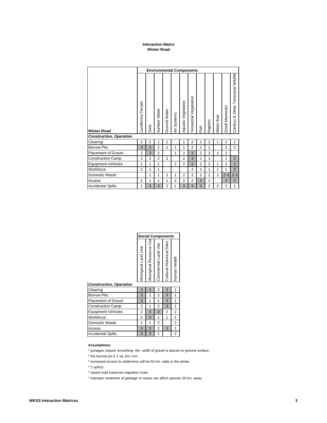## **Interaction Matrix Winter Road**

|                                | <b>Environmental Components</b> |                |                |                |                |                    |                        |                |                |                |                |                                      |  |  |
|--------------------------------|---------------------------------|----------------|----------------|----------------|----------------|--------------------|------------------------|----------------|----------------|----------------|----------------|--------------------------------------|--|--|
| <b>Winter Road</b>             | andforms-Terrain                | Soils          | Surface Water  | Ground Water   | Systems<br>Är  | Aquatic Vegetation | Terrestrial Vegetation | Fish           | Raptors        | Water fowl     | Small Mammals  | Caribou & Other Terrestrial Wildlife |  |  |
| <b>Construction, Operation</b> |                                 |                |                |                |                |                    |                        |                |                |                |                |                                      |  |  |
| Clearing                       | $\overline{2}$                  | $\overline{2}$ | 1              | 1              |                | 1                  | $\overline{2}$         | 1              | $\overline{2}$ | 1              | $\overline{2}$ | $\overline{2}$                       |  |  |
| <b>Borrow Pits</b>             | 3                               | 3              | $\overline{2}$ | 1              | 1              | 1                  | $\overline{2}$         | 1              | 1              |                | $\overline{2}$ | $\overline{2}$                       |  |  |
| <b>Placement of Gravel</b>     | $\overline{2}$                  | 3              | $\overline{2}$ |                | 1              | $\overline{2}$     | 3                      | $\overline{2}$ | $\overline{2}$ | 1              | $\overline{2}$ |                                      |  |  |
| <b>Construction Camp</b>       | $\overline{2}$                  | $\overline{2}$ | $\overline{2}$ | $\overline{2}$ |                | $\overline{2}$     | 3                      | $\mathbf{1}$   | 1              |                | 1              | 3                                    |  |  |
| Equipment-Vehicles             | 1                               | 1              | 1              |                | $\overline{2}$ | $\overline{2}$     | 3                      | $\overline{2}$ | $\overline{2}$ | 1              | $\overline{2}$ | 3                                    |  |  |
| Workforce                      | $\overline{2}$                  | 1              | 1              |                |                |                    | $\overline{2}$         | 1              | 1              | 1              | 1              | 3                                    |  |  |
| Domestic Waste                 |                                 | 1              | 1              | $\overline{2}$ | 1              | $\overline{2}$     | $\overline{2}$         | $\overline{2}$ | $\overline{2}$ | $\overline{2}$ | $2 - 3$        | $2 - 3$                              |  |  |
| Access                         | $\mathbf{1}$                    | 1              | 1              | 1              | $\overline{2}$ | $\overline{2}$     | $\overline{2}$         | 3              | 1              |                | 3              | 3                                    |  |  |
| <b>Accidental Spills</b>       | 1                               | 3              | 3              | $\overline{2}$ | 1              | 3                  | 3                      | 3              | $\overline{2}$ | 2              | $\overline{2}$ | $\overline{2}$                       |  |  |

|                                | <b>Social Components</b> |                         |                     |                           |              |  |  |  |  |  |
|--------------------------------|--------------------------|-------------------------|---------------------|---------------------------|--------------|--|--|--|--|--|
|                                | Aboriginal Land Use      | Aboriginal Resource Use | Commercial Land Use | Cultural-Historical Sites | Human Health |  |  |  |  |  |
| <b>Construction, Operation</b> |                          |                         |                     |                           |              |  |  |  |  |  |
| Clearing                       | 3                        | 3                       | 2                   | 3                         | 1            |  |  |  |  |  |
| <b>Borrow Pits</b>             | 3                        | 2                       | $\overline{2}$      | 3                         | 1            |  |  |  |  |  |
| <b>Placement of Gravel</b>     | 3                        | 1                       | 1                   | 3                         | 1            |  |  |  |  |  |
| <b>Construction Camp</b>       | 2                        | 1                       | $\overline{2}$      | 3                         | 1            |  |  |  |  |  |
| Equipment-Vehicles             | 2                        | 3                       | 3                   | 2                         | 2            |  |  |  |  |  |
| Workforce                      | 2                        | 3                       | 1                   | 1                         | 1            |  |  |  |  |  |
| Domestic Waste                 | 1                        | 1                       | $\overline{2}$      |                           | 2            |  |  |  |  |  |
| Access                         | 3                        | 3                       | $\overline{2}$      | 3                         | 1            |  |  |  |  |  |
| <b>Accidental Spills</b>       | 3                        | 3                       | 1                   |                           | 2            |  |  |  |  |  |

### **Assumptions:**

\* portages require smoothing- 8m. width of gravel is placed on ground surface..

\* the borrow pit is 1 sq. km./ km.

- \* increased access to wilderness will be 50 km. wide in the winter.
- \* 1 spill/yr.
- \* raised road traverses migration route.
- \* improper treatment of garbage or waste can affect species 20 km. away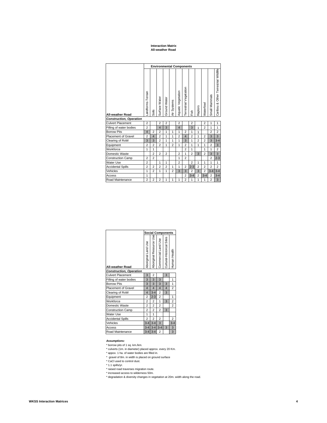#### **Interaction Matrix All-weather Road**

#### **Environmental Components** Caribou & Other Terrestrial Wildlife Caribou & Other Terrestrial Wildlife **Terrestrial Vegetation** Terrestrial Vegetation Air Systems<br>Aquatic Vegetation all-weather Road<br>All-weather Road<br>All-weather Road Aquatic Vegetation Small Mammals Surface Water Ground Water Waterfowl Raptors Soils Fish **Construction, Operation** Culvert Placement 2 2 2 2 2 2 1 1<br>Filling of water bodies 2 4 3 4 3 1 2 1 1 Filling of water bodies 2 4 3 4 3 1 2 1 1<br>Borrow Pits 4 2 2 1 1 1 2 1 1 2 2 2 Borrow Pits 4 2 2 1 1 1 2 1 1 2 2 Placement of Gravel  $2 \mid 4 \mid 2 \mid 1 \mid 1 \mid 2 \mid 4 \mid 2 \mid 1 \mid 2 \mid 3 \mid 3$ Clearing of RoW 3 3 3 2 1 1 1 1 3 1 2 2 3 3 3 4 Equipment 2 2 2 2 1 2 1 2 1 1 1 1 2 3 Workforce 1 1 2 1 1 1 2 Domestic Waste 2 2 2 2 1 2 3 2 3 3 Construction Camp 2 2 1 2 2 2-3 Water Use 2 1 1 2 2 1 1 1 1 Accidental Spills 2 2 2 2 2 2 1 1 2 2-3 2 2 2 2 Vehicles 1 2 1 2 1 1 2 3 3 2 3 2 3 4 3 4 Access 1 1 2 3 4 2 3 4 2 3 4 2 3 4 Road Maintenance 2 2 2 1 1 1 2 1 1 1 2 3

|                                |                         |                         | <b>Social Components</b> |                           |                |
|--------------------------------|-------------------------|-------------------------|--------------------------|---------------------------|----------------|
| All-weather Road               | Aboriginal Land Use     | Aboriginal Resource Use | Commercial Land Use      | Cultural-Historical Sites | Human Health   |
| <b>Construction, Operation</b> |                         |                         |                          |                           |                |
| <b>Culvert Placement</b>       | 3                       | $\overline{2}$          |                          | 3                         |                |
| Filling of water bodies        | 3                       | 3                       | 3                        |                           | 1              |
| <b>Borrow Pits</b>             | 3                       | 3                       | 3                        | 3                         | $\overline{1}$ |
| <b>Placement of Gravel</b>     | $\overline{\mathbf{4}}$ | $\overline{4}$          | $\overline{4}$           | $\overline{\mathbf{A}}$   | $\overline{a}$ |
| Clearing of RoW                | $\overline{\mathbf{4}}$ | $3 - 4$                 | $\overline{2}$           | 3                         |                |
| Equipment                      | 2                       | $2 - 3$                 | $\overline{2}$           |                           | 1              |
| Workforce                      | $\overline{2}$          | 2                       | $\overline{1}$           | 3                         | $\overline{2}$ |
| Domestic Waste                 | $\overline{2}$          | $\overline{2}$          | $\overline{2}$           |                           | $\overline{2}$ |
| <b>Construction Camp</b>       | $\overline{2}$          | $\overline{2}$          | $\overline{a}$           | 3                         |                |
| Water Use                      | 1                       | 1                       |                          |                           |                |
| <b>Accidental Spills</b>       | $\overline{a}$          | $\overline{2}$          | $\overline{2}$           |                           | $\overline{2}$ |
| Vehicles                       | $3 - 4$                 | $3 - 4$                 | 3                        |                           | $3 - 4$        |
| Access                         | $3 - 4$                 | $3 - 4$                 | $3 - 4$                  | 3                         | 3              |
| Road Maintenance               |                         | $3-4$ 3-4               | $\overline{2}$           |                           | 3              |

### **Assumptions:**

\* borrow pits of 1 sq. km./km.

- \* culverts (1m. in diameter) placed approx. every 20 Km.
- \* appox. 1 ha. of water bodies are filled in.
- \* gravel of 8m. in width is placed on ground surface
- \* CaCl used to control dust.
- \* 1.1 spills/yr.
- \* raised road traverses migration route.
- \* increased access to wilderness 50m.
- \* degradation & diversity changes in vegetation at 20m. width along the road.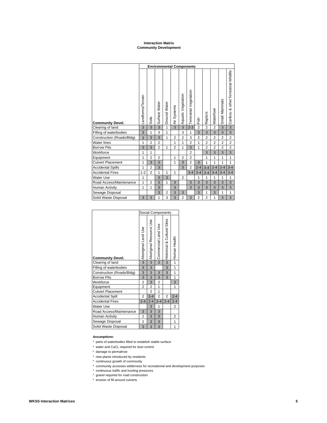### **Interaction Matrix Community Development**

|                           | <b>Environmental Components</b> |                |                |                |                |                    |                        |                |                |                |                |                                     |  |  |
|---------------------------|---------------------------------|----------------|----------------|----------------|----------------|--------------------|------------------------|----------------|----------------|----------------|----------------|-------------------------------------|--|--|
| <b>Community Devel.</b>   | Landforms/Terrain               | Soils          | Surface Water  | Ground Water   | Systems<br>Αiτ | Aquatic Vegetation | Terrestrial Vegetation | Fish           | Raptors        | Waterfowl      | Small Mammals  | Caribou & otherTerrestrial Wildlife |  |  |
| Clearing of land          | 3                               | 3              | 3              | 1              | 3              | 3                  | $2 - 3$                | $\overline{2}$ | $\overline{2}$ | $\overline{2}$ | 3              | 3                                   |  |  |
| Filling of waterbodies    | 3                               | 1              | 3              | 1              |                | 3                  | $\mathbf{1}$           | 3              | 3              | 3              | 3              | 3                                   |  |  |
| Construction (Roads/Bldg) | 3                               | 3              | 3              | 1              | $\overline{2}$ | $\overline{2}$     | 3                      | $\overline{2}$ | $\overline{2}$ | $\overline{2}$ | $\overline{2}$ | $\overline{2}$                      |  |  |
| <b>Water lines</b>        | 1                               | $\overline{2}$ | $\overline{2}$ |                | 1              | 1                  | $\overline{2}$         | 1              | $\overline{2}$ | $\overline{2}$ | $\overline{2}$ | $\overline{2}$                      |  |  |
| <b>Borrow Pits</b>        | 3                               | 3              | $\overline{2}$ | 1              | $\overline{2}$ | 1                  | 3                      | 1              | $\overline{2}$ | $\overline{2}$ | $\overline{2}$ | $\overline{2}$                      |  |  |
| Workforce                 | 1                               | 1              |                |                |                |                    | $\overline{2}$         |                | 3              | 3              | 3              | 3                                   |  |  |
| Equipment                 | 1                               | $\overline{2}$ | $\overline{2}$ |                | $\mathbf{1}$   | $\overline{2}$     | $\overline{2}$         |                | 1              | 1              | 1              | $\mathbf{1}$                        |  |  |
| <b>Culvert Placement</b>  | 1                               | 3              | 3              |                | 1              | 3                  | $\overline{2}$         | 3              | 1              | 1              | 1              | 1                                   |  |  |
| <b>Accidental Spills</b>  | 1                               | $\overline{2}$ | 3              |                |                | 3                  | $\overline{a}$         | $2 - 4$        | $3 - 4$        | $2 - 4$        | $2 - 4$        | $3 - 4$                             |  |  |
| <b>Accidental Fires</b>   | $1 - 2$                         | $\overline{2}$ | 1              | 1              | $\mathbf{1}$   |                    | $3 - 4$                | $3 - 4$        | $3 - 4$        | $3 - 4$        | $3 - 4$        | $3 - 4$                             |  |  |
| <b>Water Use</b>          | 1                               |                | 3              | 3              |                | $\overline{2}$     |                        | 1              | $\mathbf{1}$   | 1              | 1              | $\mathbf{1}$                        |  |  |
| Road Access/Maintenance   | 1                               | $\overline{2}$ | 3              | $\mathbf{1}$   | 3              |                    | 3                      | 3              | 3              | 3              | 3              | 3                                   |  |  |
| <b>Human Activity</b>     | 1                               | $\mathbf{1}$   | 3              |                | 3              |                    | 3                      | 3              | 3              | 3              | 3              | 3                                   |  |  |
| Sewage Disposal           |                                 |                | 3              | $\overline{2}$ | 3              | 3                  |                        | 3              | 1              | 3              | 1              | $\mathbf{1}$                        |  |  |
| Solid Waste Disposal      | 3                               | 3              | 1              | 3              | 3              | $\overline{2}$     | 3                      | $\overline{2}$ | $\overline{2}$ | 1              | 3              | 3                                   |  |  |

|                           | <b>Social Components</b> |                         |                     |                             |                |  |  |  |
|---------------------------|--------------------------|-------------------------|---------------------|-----------------------------|----------------|--|--|--|
| <b>Community Devel.</b>   | Aboriginal Land Use      | Aboriginal Resource Use | Commercial Land Use | Historical & Cultural Sites | Human Health   |  |  |  |
| Clearing of land          | 3                        | $\overline{3}$          | 3                   | 3                           | 1              |  |  |  |
| Filling of waterbodies    | 3                        | 3                       |                     | 3                           | 1              |  |  |  |
| Construction (Roads/Bldg) | 3                        | 3                       | 3                   | 3                           | 1              |  |  |  |
| <b>Borrow Pits</b>        | 3                        | 3                       | 3                   | 3                           | 1              |  |  |  |
| Workforce                 | 2                        | 3                       | 2                   |                             | 3              |  |  |  |
| Equipment                 | $\overline{a}$           | $\overline{2}$          | $\mathbf{1}$        |                             | 1              |  |  |  |
| <b>Culvert Placement</b>  |                          | $\overline{2}$          | 1                   |                             |                |  |  |  |
| <b>Accidental Spill</b>   | $\overline{c}$           | $3 - 4$                 | $\overline{2}$      | $\overline{2}$              | $2 - 4$        |  |  |  |
| <b>Accidental Fires</b>   | $2 - 4$                  | $2 - 4$                 | $2 - 4$             | $2 - 4$                     | $2 - 4$        |  |  |  |
| <b>Water Use</b>          |                          | 3                       | 1                   |                             | $\overline{c}$ |  |  |  |
| Road Access/Maintenance   | 3                        | 3                       | 3                   |                             |                |  |  |  |
| <b>Human Activity</b>     | $\overline{c}$           | 3                       | 3                   |                             | 2              |  |  |  |
| Sewage Disposal           | 2                        | 3                       | 3                   |                             | 1              |  |  |  |
| Solid Waste Disposal      | 3                        | 3                       | 3                   |                             | 1              |  |  |  |

### **Assumptions:**

- \* parts of waterbodies filled to establish stable surface
- \* water and CaCL required for dust control
- \* damage to permafrost
- \* new plants introduced by residents
- \* continuous growth of community
- \* community accesses wilderness for recreational and development purposes
- \* continuous traffic and hunting pressures
- \* gravel required for road construction
- \* erosion of fill around culverts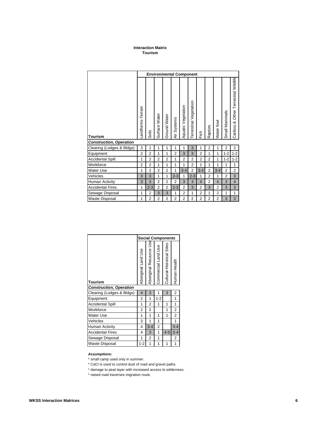## **Interaction Matrix Tourism**

|                                                  | <b>Environmental Component</b> |                |                |                |                |                    |                        |                         |                |                |                |                                      |  |
|--------------------------------------------------|--------------------------------|----------------|----------------|----------------|----------------|--------------------|------------------------|-------------------------|----------------|----------------|----------------|--------------------------------------|--|
| <b>Tourism</b><br><b>Construction, Operation</b> | Landforms-Terrain              | Soils          | Surface Water  | Ground Water   | Systems<br>ä   | Aquatic Vegetation | Terrestrial Vegetation | Fish                    | Raptors        | Water fowl     | Small Mammals  | Caribou & Other Terrestrial Wildlife |  |
| Clearing (Lodges & Bldgs)                        | 3                              | 1              | 1              | 1              | 1              | 1                  | 3                      | 1                       | $\overline{2}$ | 1              | $\overline{2}$ | 2                                    |  |
| Equipment                                        | $\overline{2}$                 | $\overline{2}$ | 1              | 1              | $\overline{2}$ | 3                  | 3                      | $\overline{2}$          | 1              | 1              | $1 - 2$        | $1 - 2$                              |  |
| <b>Accidental Spill</b>                          | 1                              | $\overline{2}$ | $\overline{2}$ | $\overline{2}$ | 1              | $\overline{2}$     | $\overline{2}$         | $\overline{2}$          | $\overline{2}$ | 1              | $1 - 2$        | $1 - 2$                              |  |
| Workforce                                        | $\overline{2}$                 | $\overline{2}$ | 1              | 1              | 1              | 1                  | $\overline{2}$         | 1                       | 1              | 1              | 1              | 1                                    |  |
| <b>Water Use</b>                                 | 1                              | $\overline{2}$ | $\overline{2}$ | $\overline{2}$ | 1              | $3 - 4$            | $\overline{2}$         | $3 - 4$                 | $\overline{2}$ | $3 - 4$        | $\overline{2}$ | $\overline{c}$                       |  |
| Vehicles                                         | 3                              | 3              | 1              | 1              | $2 - 3$        | 1                  | $2 - 3$                | $\mathbf{1}$            | $\overline{2}$ | 1              | $\overline{2}$ | 3                                    |  |
| Human Activity                                   | 3                              | 3              | $\overline{2}$ | $\overline{2}$ | $\overline{2}$ | 3                  | 3                      | $\overline{\mathbf{4}}$ | $\overline{2}$ | $\overline{4}$ | 3              | $\overline{\mathbf{4}}$              |  |
| <b>Accidental Fires</b>                          | 1                              | $2 - 3$        | $\overline{2}$ | $\overline{2}$ | $2 - 3$        | $\overline{2}$     | 3                      | $\overline{2}$          | 3              | $\overline{2}$ | 3              | 3                                    |  |
| Sewage Disposal                                  | 1                              | $\overline{2}$ | 3              | 3              | 1              | $\overline{2}$     | 1                      | $\overline{2}$          | 1              | $\overline{2}$ | 1              | $\mathbf{1}$                         |  |
| <b>Waste Disposal</b>                            | 1                              | $\overline{2}$ | $\overline{2}$ | $\overline{2}$ | $\overline{2}$ | $\overline{2}$     | $\overline{2}$         | $\overline{2}$          | $\overline{2}$ | $\overline{2}$ | 3              | 3                                    |  |

|                                | <b>Social Components</b> |                         |                     |                           |                |  |  |  |  |  |
|--------------------------------|--------------------------|-------------------------|---------------------|---------------------------|----------------|--|--|--|--|--|
| <b>Tourism</b>                 | Aboriginal Land Use      | Aboriginal Resource Use | Commercial Land Use | Cultural-Historical Sites | Human Health   |  |  |  |  |  |
| <b>Construction, Operation</b> |                          |                         |                     |                           |                |  |  |  |  |  |
| Clearing (Lodges & Bldgs)      | 4                        | 3                       | 1                   | 3                         | $\overline{2}$ |  |  |  |  |  |
| Equipment                      | 2                        | 1                       | $1 - 2$             |                           | 1              |  |  |  |  |  |
| <b>Accidental Spill</b>        | 1                        | $\overline{2}$          | 1                   | 1                         | 1              |  |  |  |  |  |
| Workforce                      | 2                        | $\overline{2}$          |                     | 1                         | 2              |  |  |  |  |  |
| Water Use                      | 1                        | 1                       | 1                   | 1                         | $\overline{2}$ |  |  |  |  |  |
| Vehicles                       | 3                        | 1                       | 1                   |                           | 1              |  |  |  |  |  |
| Human Activity                 | 4                        | $3 - 4$                 | 2                   |                           | $3 - 4$        |  |  |  |  |  |
| <b>Accidental Fires</b>        | 4                        | 3                       | 1                   | $4 - 5$                   | $3 - 4$        |  |  |  |  |  |
| Sewage Disposal                | 1                        | 2                       | 1                   |                           | 2              |  |  |  |  |  |
| <b>Waste Disposal</b>          | $1 - 2$                  | 1                       | 1                   | 1                         | 1              |  |  |  |  |  |

## **Assumptions:**

\* small camp used only in summer.

\* CaCl is used to control dust of road and gravel paths.

\* damage to peat layer with increased access to wilderness.

\* raised road traverses migration route.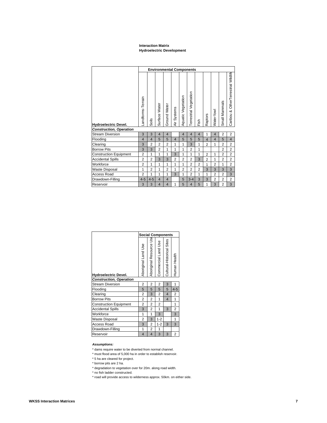### **Interaction Matrix Hydroelectric Development**

|                                | <b>Environmental Components</b> |                         |                |                |                |                    |                        |                |                |                |                |                                     |  |
|--------------------------------|---------------------------------|-------------------------|----------------|----------------|----------------|--------------------|------------------------|----------------|----------------|----------------|----------------|-------------------------------------|--|
| <b>Hydroelectric Devel.</b>    | andforms-Terrain                | Soils                   | Surface Water  | Ground Water   | Systems<br>Αir | Aquatic Vegetation | Terrestrial Vegetation | Fish           | Raptors        | Water fowl     | Small Mammals  | Caribou & OtherTerrestrial Wildlife |  |
| <b>Construction, Operation</b> |                                 |                         |                |                |                |                    |                        |                |                |                |                |                                     |  |
| <b>Stream Diversion</b>        | 3                               | 3                       | $\overline{4}$ | $\overline{4}$ |                | $\overline{4}$     | $\overline{4}$         | $\overline{4}$ | 1              | $\overline{4}$ | $\overline{2}$ | $\overline{2}$                      |  |
| Flooding                       | $\overline{4}$                  | $\overline{\mathbf{4}}$ | 5              | 5              | $\overline{4}$ | 5                  | 5                      | 5              | $\overline{4}$ | $\overline{4}$ | 5              | $\overline{4}$                      |  |
| Clearing                       | 3                               | $\overline{2}$          | $\overline{2}$ | $\overline{2}$ | 1              | 1                  | 3                      | 1              | $\overline{2}$ | 1              | $\overline{2}$ | $\overline{2}$                      |  |
| <b>Borrow Pits</b>             | 3                               | 3                       | $\overline{2}$ | 1              | 1              | 1                  | $\overline{2}$         | 1              |                |                | $\overline{2}$ | $\overline{2}$                      |  |
| <b>Construction Equipment</b>  | $\overline{2}$                  | 1                       | 1              | 1              | 3              | 1                  | 1                      | 1              | $\overline{2}$ | 1              | $\overline{2}$ | $\overline{c}$                      |  |
| <b>Accidental Spills</b>       | $\overline{2}$                  | $\overline{2}$          | 3              | 3              | $\overline{2}$ | $\overline{2}$     | $\overline{2}$         | 3              | $\overline{2}$ | 1              | $\overline{2}$ | $\overline{2}$                      |  |
| Workforce                      | $\overline{2}$                  | 1                       | 1              | 1              | 1              | 1                  | $\overline{2}$         | $\overline{2}$ | 1              | $\overline{2}$ | 1              | $\overline{2}$                      |  |
| <b>Waste Disposal</b>          | 1                               | $\overline{2}$          | 1              | $\overline{2}$ | 1              | $\overline{2}$     | $\overline{2}$         | $\overline{2}$ | 3              | 3              | 3              | 3                                   |  |
| Access Road                    | $\overline{2}$                  | 1                       | 1              | 1              | 3              | 1                  | $\overline{2}$         | 1              | 1              | $\overline{2}$ | $\overline{2}$ | 3                                   |  |
| Drawdown-Filling               | $4 - 5$                         | $4 - 5$                 | $\overline{4}$ | $\overline{4}$ |                | 5                  | $3 - 4$                | 3              | 3              | 2              | $\overline{2}$ | $\overline{2}$                      |  |
| Reservoir                      | 3                               | 3                       | $\overline{4}$ | $\overline{4}$ | 1              | 5                  | $\overline{4}$         | 5              | 1              | 3              | $\overline{2}$ | 3                                   |  |

|                                | <b>Social Components</b> |                          |                     |                           |                |  |  |  |  |  |
|--------------------------------|--------------------------|--------------------------|---------------------|---------------------------|----------------|--|--|--|--|--|
| <b>Hydroelectric Devel.</b>    | Aboriginal Land Use      | ڱ<br>Aboriginal Resource | Commercial Land Use | Cultural-Historical Sites | Human Health   |  |  |  |  |  |
| <b>Construction, Operation</b> |                          |                          |                     |                           |                |  |  |  |  |  |
| <b>Stream Diversion</b>        | $\overline{2}$           | $\overline{2}$           | $\overline{2}$      | 3                         | 1              |  |  |  |  |  |
| Flooding                       | 5                        | 5                        | 5                   | 5                         | $4 - 5$        |  |  |  |  |  |
| Clearing                       | $\overline{2}$           | 3                        | $\overline{2}$      | $\overline{4}$            | $\overline{2}$ |  |  |  |  |  |
| <b>Borrow Pits</b>             | 2                        | 2                        | 1                   | $\overline{\mathbf{A}}$   | 1              |  |  |  |  |  |
| <b>Construction Equipment</b>  | $\overline{2}$           | $\overline{2}$           | $\overline{2}$      |                           | 1              |  |  |  |  |  |
| <b>Accidental Spills</b>       | 3                        | $\overline{2}$           | 1                   | 3                         | $\overline{2}$ |  |  |  |  |  |
| Workforce                      | 1                        | 1                        | 3                   |                           | 3              |  |  |  |  |  |
| <b>Waste Disposal</b>          | $\overline{2}$           | 3                        | $1 - 2$             |                           | 1              |  |  |  |  |  |
| <b>Access Road</b>             | 3                        | 2                        | $1 - 2$             | 3                         | 3              |  |  |  |  |  |
| Drawdown-Filling               | 1                        | 2                        | 1                   |                           |                |  |  |  |  |  |
| Reservoir                      | $\overline{4}$           | $\overline{\mathbf{4}}$  | 3                   | 3                         | 2              |  |  |  |  |  |

## **Assumptions:**

\* dams require water to be diverted from normal channel.

- \* must flood area of 5,000 ha in order to establish reservoir.
- \* 5 ha are cleared for project.
- \* borrow pits are 2 ha.
- \* degradation to vegetation over for 20m. along road width.
- \* no fish ladder constructed.
- \* road will provide access to wilderness approx. 50km. on either side.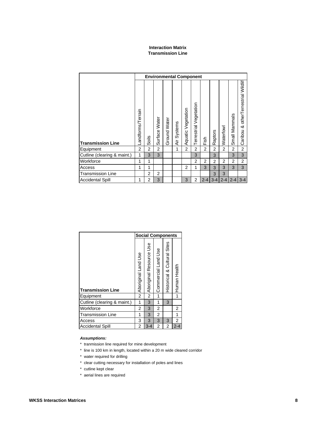# **Interaction Matrix Transmission Line**

|                             | <b>Environmental Component</b> |                |                  |              |                |                       |                           |                |                |           |                |                                          |  |
|-----------------------------|--------------------------------|----------------|------------------|--------------|----------------|-----------------------|---------------------------|----------------|----------------|-----------|----------------|------------------------------------------|--|
| <b>Transmission Line</b>    | andforms/Terrain               | Soils          | Water<br>Surface | Ground Water | Systems<br>Äίτ | Vegetation<br>Aquatic | Vegetation<br>Terrestrial | Fish           | Raptors        | Waterfowl | Small Mammals  | otherTerrestrial Wildlif<br>∞<br>Caribou |  |
| Equipment                   | $\overline{2}$                 | 2              | $\overline{2}$   |              | 1              | $\overline{2}$        | 2                         | $\overline{2}$ | $\overline{2}$ | 2         | $\overline{2}$ | $\overline{2}$                           |  |
| Cutline (clearing & maint.) | $\mathbf{1}$                   | 3              | 3                |              |                |                       | 3                         |                | 3              |           | 3              | 3                                        |  |
| Workforce                   | 1                              | 1              |                  |              |                |                       | 2                         | 2              | $\overline{2}$ | 2         | $\overline{2}$ | $\overline{2}$                           |  |
| Access                      | 1                              | 1              |                  |              |                | $\overline{2}$        | 1                         | 3              | 3              | 3         | 3              | 3                                        |  |
| <b>Transmission Line</b>    |                                | $\overline{2}$ | 2                |              |                |                       |                           |                | 3              | 3         |                |                                          |  |
| <b>Accidental Spill</b>     | 1                              | $\overline{2}$ | 3                |              |                | 3                     | $\overline{c}$            | $2 - 4$        | $3 - 4$        | $2 - 4$   | $2 - 4$        | $3 - 4$                                  |  |

|                             | <b>Social Components</b> |                         |                     |                             |              |  |  |  |  |
|-----------------------------|--------------------------|-------------------------|---------------------|-----------------------------|--------------|--|--|--|--|
| <b>Transmission Line</b>    | Aboriginal Land Use      | Aboriginal Resource Use | Commercial Land Use | Historical & Cultural Sites | Human Health |  |  |  |  |
| Equipment                   | $\overline{2}$           | $\overline{2}$          | 1                   |                             |              |  |  |  |  |
| Cutline (clearing & maint.) | 1                        | 3                       | 1                   | 3                           |              |  |  |  |  |
| Workforce                   | 2                        | 3                       | 2                   |                             | 2            |  |  |  |  |
| Transmission Line           | 1                        | 3                       | 2                   |                             |              |  |  |  |  |
| Access                      | 3                        | 3                       | 3                   | 3                           | 2            |  |  |  |  |
| <b>Accidental Spill</b>     | $\overline{2}$           | 3-4                     | 2                   | 2                           | $2 - 4$      |  |  |  |  |

## **Assumptions:**

- \* tranmission line required for mine development
- \* line is 100 km in length, located within a 20 m wide cleared corridor
- \* water required for drilling
- \* clear cutting necessary for installation of poles and lines
- \* cutline kept clear
- \* aerial lines are required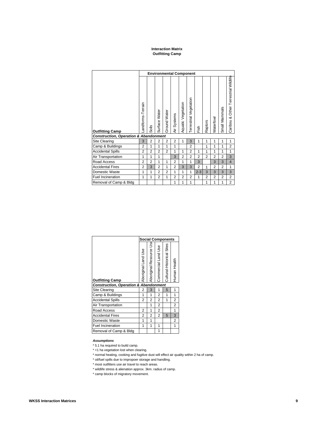### **Interaction Matrix Outfitting Camp**

|                                                  | <b>Environmental Component</b> |                |                |                |                |                    |                        |                |                |                |                |                                      |  |  |
|--------------------------------------------------|--------------------------------|----------------|----------------|----------------|----------------|--------------------|------------------------|----------------|----------------|----------------|----------------|--------------------------------------|--|--|
| <b>Outfitting Camp</b>                           | andforms-Terrain               | Soils          | Surface Water  | Ground Water   | Systems<br>È   | Aquatic Vegetation | Terrestrial Vegetation | Fish           | Raptors        | Waterfowl      | Small Mammals  | Caribou & Other Terrestrial Wildlife |  |  |
| <b>Construction, Operation &amp; Abandonment</b> |                                |                |                |                |                |                    |                        |                |                |                |                |                                      |  |  |
| <b>Site Clearing</b>                             | 3                              | $\overline{2}$ | $\overline{2}$ | $\overline{2}$ | 2              | 1                  | 3                      | 1              | 1              | 1              | 1              | 1                                    |  |  |
| Camp & Buildings                                 | $\overline{2}$                 | 1              | 1              | 1              | 1              |                    | $\overline{2}$         |                | 1              | 1              | 1              | 2                                    |  |  |
| <b>Accidental Spills</b>                         | $\overline{2}$                 | $\overline{2}$ | $\overline{2}$ | $\overline{2}$ | 1              | 1                  | $\overline{2}$         | 1              | 1              | 1              | 1              | 1                                    |  |  |
| Air Transportation                               | 1                              | 1              | 1              |                | 3              | $\overline{2}$     | $\overline{2}$         | $\overline{2}$ | $\overline{2}$ | $\overline{2}$ | $\overline{2}$ | 3                                    |  |  |
| Road Access                                      | $\overline{2}$                 | $\overline{2}$ | 1              | 1              | $\overline{2}$ | 1                  | 1                      | 3              |                | 3              | 3              | $\overline{4}$                       |  |  |
| <b>Accidental Fires</b>                          | $\overline{2}$                 | 3              | $\overline{2}$ | 1              | $\overline{2}$ | 3                  | 3                      | $\overline{2}$ | 1              | $\overline{2}$ | $\overline{2}$ | 1                                    |  |  |
| Domestic Waste                                   | 1                              | 1              | $\overline{2}$ | $\overline{2}$ | 1              | 1                  | 1                      | $2 - 3$        | 3              | 3              | 3              | 3                                    |  |  |
| <b>Fuel Incineration</b>                         | 1                              | 1              | $\overline{2}$ | 1              | 2              | 2                  | 2                      | 1              | 2              | $\overline{2}$ | 2              | $\overline{2}$                       |  |  |
| Removal of Camp & Bldg                           |                                |                |                |                | 1              | 1                  | 1                      |                | 1              | 1              | 1              | $\overline{2}$                       |  |  |

|                                                  |                     | <b>Social Components</b> |                     |                           |                |  |  |  |  |
|--------------------------------------------------|---------------------|--------------------------|---------------------|---------------------------|----------------|--|--|--|--|
| <b>Outfitting Camp</b>                           | Aboriginal Land Use | Aboriginal Resource Us   | Commercial Land Use | Cultural-Historical Sites | Human Health   |  |  |  |  |
| <b>Construction, Operation &amp; Abandonment</b> |                     |                          |                     |                           |                |  |  |  |  |
| Site Clearing                                    | 2                   | 3                        | 1                   | 5                         | 1              |  |  |  |  |
| Camp & Buildings                                 | 1                   | 1                        | 2                   | 1                         | 1              |  |  |  |  |
| <b>Accidental Spills</b>                         | 2                   | 2                        | 2                   | 1                         | 2              |  |  |  |  |
| Air Transportation                               |                     | 1                        | 2                   |                           | $\overline{2}$ |  |  |  |  |
| Road Access                                      | 2                   | 1                        | 2                   |                           | 1              |  |  |  |  |
| <b>Accidental Fires</b>                          | 2                   | 2                        | $\overline{2}$      | 5                         | 3              |  |  |  |  |
| Domestic Waste                                   | 1                   | 1                        |                     |                           | 2              |  |  |  |  |
| <b>Fuel Incineration</b>                         | 1                   | 1                        | 1                   |                           | 1              |  |  |  |  |
| Removal of Camp & Bldg                           |                     |                          | 1                   |                           |                |  |  |  |  |

## **Assumptions**

\* 5.1 ha required to build camp.

\* <1 ha vegetation lost when clearing.

\* normal heating, cooking and fugitive dust will effect air quality within 2 ha of camp.

\* oil/fuel spills due to impropoer storage and handling.

\* most outfitters use air travel to reach areas.

\* wildlife stress & alienation approx. 3km. radius of camp.

\* camp blocks of migratory movement.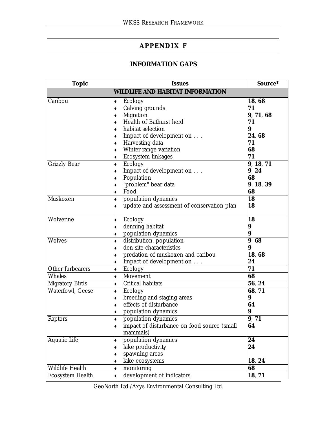# **APPENDIX F**

# **INFORMATION GAPS**

| <b>Topic</b>           | <b>Issues</b>                               | Source*         |
|------------------------|---------------------------------------------|-----------------|
|                        | <b>WILDLIFE AND HABITAT INFORMATION</b>     |                 |
| Caribou                | Ecology<br>٠                                | 18, 68          |
|                        | Calving grounds<br>٠                        | 71              |
|                        | Migration<br>٠                              | 9, 71, 68       |
|                        | Health of Bathurst herd<br>٠                | 71              |
|                        | habitat selection<br>٠                      | 9               |
|                        | Impact of development on                    | 24, 68          |
|                        | Harvesting data<br>٠                        | 71              |
|                        | Winter range variation<br>٠                 | 68              |
|                        | Ecosystem linkages<br>٠                     | 71              |
| <b>Grizzly Bear</b>    | Ecology<br>٠                                | 9, 18, 71       |
|                        | Impact of development on                    | 9, 24           |
|                        | Population                                  | 68              |
|                        | "problem" bear data                         | 9, 18, 39       |
|                        | Food                                        | 68              |
| Muskoxen               | population dynamics<br>٠                    | 18              |
|                        | update and assessment of conservation plan  | 18              |
|                        |                                             |                 |
| Wolverine              | Ecology<br>٠                                | 18              |
|                        | denning habitat<br>٠                        | 9               |
|                        | population dynamics<br>٠                    | 9               |
| <b>Wolves</b>          | distribution, population<br>٠               | 9,68            |
|                        | den site characteristics                    | 9               |
|                        | predation of muskoxen and caribou           | 18, 68          |
|                        | Impact of development on                    | 24              |
| Other furbearers       | Ecology                                     | $\overline{71}$ |
| Whales                 | Movement<br>٠                               | 68              |
| <b>Migratory Birds</b> | Critical habitats<br>٠                      | 56, 24          |
| Waterfowl, Geese       | Ecology<br>۰                                | 68, 71          |
|                        | breeding and staging areas<br>٠             | 9               |
|                        | effects of disturbance                      | 64              |
|                        | population dynamics                         | 9               |
| Raptors                | population dynamics                         | 9, 71           |
|                        | impact of disturbance on food source (small | 64              |
|                        | mammals)                                    |                 |
| Aquatic Life           | population dynamics<br>٠                    | 24              |
|                        | lake productivity<br>٠                      | 24              |
|                        | spawning areas                              |                 |
|                        | lake ecosystems<br>٠                        | 18, 24          |
| Wildlife Health        | monitoring                                  | 68              |
| Ecosystem Health       | ٠<br>development of indicators              | 18, 71          |
|                        | ۰                                           |                 |

GeoNorth Ltd./Axys Environmental Consulting Ltd.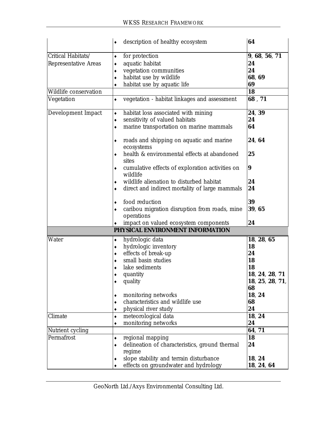|                       | description of healthy ecosystem<br>٠                            | 64              |
|-----------------------|------------------------------------------------------------------|-----------------|
| Critical Habitats/    | for protection<br>٠                                              | 9, 68, 56, 71   |
| Representative Areas  | aquatic habitat                                                  | 24              |
|                       | vegetation communities                                           | 24              |
|                       | habitat use by wildlife                                          | 68, 69          |
|                       | habitat use by aquatic life                                      | 69              |
| Wildlife conservation |                                                                  | 18              |
| Vegetation            | vegetation - habitat linkages and assessment                     | 68,71           |
|                       |                                                                  |                 |
| Development Impact    | habitat loss associated with mining<br>۰                         | 24, 39          |
|                       | sensitivity of valued habitats<br>٠                              | 24              |
|                       | marine transportation on marine mammals<br>٠                     | 64              |
|                       | roads and shipping on aquatic and marine<br>ecosystems           | 24, 64          |
|                       | health & environmental effects at abandoned<br>sites             | 25              |
|                       | cumulative effects of exploration activities on<br>٠<br>wildlife | 9               |
|                       | wildlife alienation to disturbed habitat                         | 24              |
|                       | direct and indirect mortality of large mammals                   | 24              |
|                       |                                                                  |                 |
|                       | food reduction                                                   | 39              |
|                       | caribou migration disruption from roads, mine                    | 39, 65          |
|                       | operations                                                       |                 |
|                       | impact on valued ecosystem components                            | 24              |
|                       | PHYSICAL ENVIRONMENT INFORMATION                                 |                 |
| Water                 | hydrologic data                                                  | 18, 28, 65      |
|                       | hydrologic inventory                                             | 18              |
|                       | effects of break-up<br>٠                                         | 24              |
|                       | small basin studies                                              | 18              |
|                       | lake sediments                                                   | 18              |
|                       | quantity                                                         | 18, 24, 28,     |
|                       | quality                                                          | 18, 25, 28, 71, |
|                       |                                                                  | 68              |
|                       | monitoring networks                                              | 18, 24          |
|                       | characteristics and wildlife use                                 | 68              |
|                       | physical river study<br>٠                                        | 24              |
| Climate               | meteorological data<br>۰                                         | 18, 24          |
|                       | monitoring networks                                              | 24              |
| Nutrient cycling      |                                                                  | 64, 71          |
| Permafrost            | regional mapping<br>٠                                            | 18              |
|                       | delineation of characteristics, ground thermal<br>regime         | 24              |
|                       | slope stability and terrain disturbance                          | 18, 24          |
|                       | effects on groundwater and hydrology                             | 18, 24, 64      |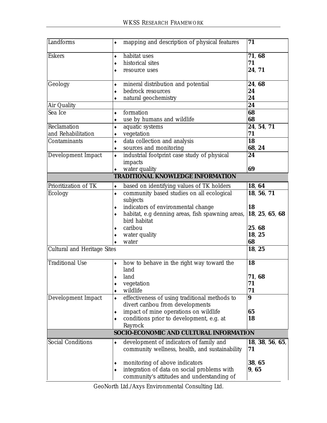| Landforms                          | mapping and description of physical features<br>٠                                 | 71               |
|------------------------------------|-----------------------------------------------------------------------------------|------------------|
| <b>Eskers</b>                      | habitat uses                                                                      | 71, 68           |
|                                    | historical sites                                                                  | 71               |
|                                    | resource uses                                                                     | 24, 71           |
| Geology                            | mineral distribution and potential                                                | 24, 68           |
|                                    | bedrock resources                                                                 | 24               |
|                                    | natural geochemistry                                                              | 24               |
| Air Quality                        |                                                                                   | 24               |
| Sea Ice                            | formation<br>۰                                                                    | 68<br>68         |
| Reclamation                        | use by humans and wildlife<br>٠<br>aquatic systems                                | 24, 54, 71       |
| and Rehabilitation                 | vegetation                                                                        | 71               |
| Contaminants                       | data collection and analysis<br>٠                                                 | 18               |
|                                    | sources and monitoring<br>۰                                                       | 68, 24           |
| Development Impact                 | industrial footprint case study of physical                                       | 24               |
|                                    | impacts                                                                           |                  |
|                                    | water quality                                                                     | 69               |
|                                    | <b>TRADITIONAL KNOWLEDGE INFORMATION</b>                                          |                  |
| Prioritization of TK               | based on identifying values of TK holders<br>۰                                    | 18, 64           |
| Ecology                            | community based studies on all ecological<br>$\bullet$                            | 18, 56, 71       |
|                                    | subjects                                                                          |                  |
|                                    | indicators of environmental change                                                | 18               |
|                                    | habitat, e.g denning areas, fish spawning areas,<br>bird habitat                  | 18, 25, 65, 68   |
|                                    | caribou                                                                           | 25.68            |
|                                    | water quality                                                                     | 18, 25           |
|                                    | water                                                                             | 68               |
| <b>Cultural and Heritage Sites</b> |                                                                                   | 18, 25           |
| <b>Traditional Use</b>             | how to behave in the right way toward the<br>٠                                    | 18               |
|                                    | land                                                                              |                  |
|                                    | land                                                                              | 71, 68           |
|                                    | vegetation                                                                        | 71               |
|                                    | wildlife<br>٠                                                                     | 71               |
| Development Impact                 | effectiveness of using traditional methods to<br>۰                                | $\boldsymbol{9}$ |
|                                    | divert caribou from developments                                                  |                  |
|                                    | impact of mine operations on wildlife<br>conditions prior to development, e.g. at | 65<br>18         |
|                                    | Rayrock                                                                           |                  |
|                                    | SOCIO-ECONOMIC AND CULTURAL INFORMATION                                           |                  |
| <b>Social Conditions</b>           | development of indicators of family and<br>۰                                      | 18, 38, 56, 65,  |
|                                    | community wellness, health, and sustainability                                    | 71               |
|                                    | monitoring of above indicators                                                    | 38, 65           |
|                                    | integration of data on social problems with                                       | 9,65             |
|                                    | community's attitudes and understanding of                                        |                  |

GeoNorth Ltd./Axys Environmental Consulting Ltd.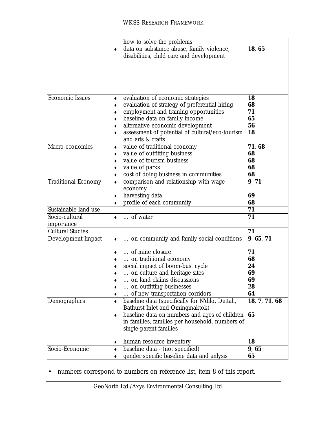|                              | how to solve the problems<br>data on substance abuse, family violence,<br>٠             | 18, 65        |
|------------------------------|-----------------------------------------------------------------------------------------|---------------|
|                              | disabilities, child care and development                                                |               |
| <b>Economic Issues</b>       | evaluation of economic strategies<br>٠                                                  | 18            |
|                              | evaluation of strategy of preferential hiring<br>٠                                      | 68            |
|                              | employment and training opportunities<br>٠                                              | 71            |
|                              | baseline data on family income                                                          | 65            |
|                              | alternative economic development<br>٠                                                   | 56            |
|                              | assessment of potential of cultural/eco-tourism<br>and arts & crafts                    | 18            |
| Macro-economics              | value of traditional economy<br>٠                                                       | 71, 68        |
|                              | value of outfitting business<br>٠                                                       | 68            |
|                              | value of tourism business<br>٠                                                          | 68            |
|                              | value of parks<br>٠                                                                     | 68            |
|                              | cost of doing business in communities<br>٠                                              | 68            |
| <b>Traditional Economy</b>   | comparison and relationship with wage<br>٠                                              | 9, 71         |
|                              | economy                                                                                 |               |
|                              | harvesting data<br>٠                                                                    | 69            |
|                              | profile of each community                                                               | 68            |
| Sustainable land use         |                                                                                         | 71            |
| Socio-cultural<br>importance | of water<br>۰                                                                           | 71            |
| <b>Cultural Studies</b>      |                                                                                         | 71            |
| Development Impact           | on community and family social conditions                                               | 9, 65, 71     |
|                              | of mine closure<br>٠                                                                    | 71            |
|                              | on traditional economy                                                                  | 68            |
|                              | social impact of boom-bust cycle                                                        | 24            |
|                              | on culture and heritage sites                                                           | 69            |
|                              | on land claims discussions                                                              | 69            |
|                              | on outfitting businesses                                                                | 28            |
|                              | of new transportation corridors<br>٠                                                    | 64            |
| Demographics                 | baseline data (specifically for N'dilo, Dettah,<br>٠<br>Bathurst Inlet and Omingmaktok) | 18, 7, 71, 68 |
|                              | baseline data on numbers and ages of children<br>٠                                      | 65            |
|                              | in families, families per household, numbers of<br>single-parent families               |               |
|                              |                                                                                         |               |
|                              | human resource inventory<br>٠                                                           | 18            |
| Socio-Economic               | baseline data - (not specified)                                                         | 9,65          |
|                              | gender specific baseline data and anlysis                                               | 65            |

• numbers correspond to numbers on reference list, item 8 of this report.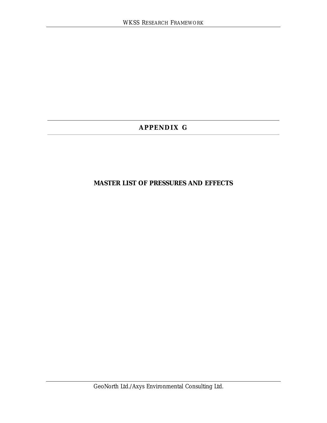# **APPENDIX G**

# **MASTER LIST OF PRESSURES AND EFFECTS**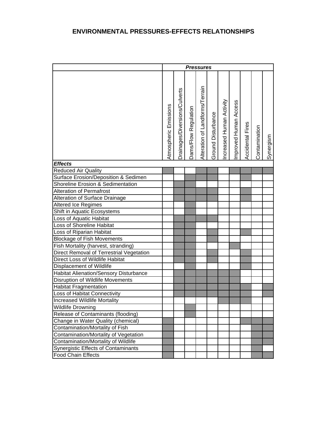|                                               |                       | <b>Pressures</b>              |                      |                                 |                    |                          |                       |                         |               |           |
|-----------------------------------------------|-----------------------|-------------------------------|----------------------|---------------------------------|--------------------|--------------------------|-----------------------|-------------------------|---------------|-----------|
|                                               | Atmospheric Emissions | Drainages/Diversions/Culverts | Dams/Flow Regulation | Alteration of Landforms/Terrain | Ground Disturbance | Increased Human Activity | Improved Human Access | <b>Accidental Fires</b> | Contamination | Synergism |
| <b>Effects</b>                                |                       |                               |                      |                                 |                    |                          |                       |                         |               |           |
| <b>Reduced Air Quality</b>                    |                       |                               |                      |                                 |                    |                          |                       |                         |               |           |
| Surface Erosion/Deposition & Sedimen          |                       |                               |                      |                                 |                    |                          |                       |                         |               |           |
| Shoreline Erosion & Sedimentation             |                       |                               |                      |                                 |                    |                          |                       |                         |               |           |
| <b>Alteration of Permafrost</b>               |                       |                               |                      |                                 |                    |                          |                       |                         |               |           |
| Alteration of Surface Drainage                |                       |                               |                      |                                 |                    |                          |                       |                         |               |           |
| <b>Altered Ice Regimes</b>                    |                       |                               |                      |                                 |                    |                          |                       |                         |               |           |
| Shift in Aquatic Ecosystems                   |                       |                               |                      |                                 |                    |                          |                       |                         |               |           |
| Loss of Aquatic Habitat                       |                       |                               |                      |                                 |                    |                          |                       |                         |               |           |
| Loss of Shoreline Habitat                     |                       |                               |                      |                                 |                    |                          |                       |                         |               |           |
| Loss of Riparian Habitat                      |                       |                               |                      |                                 |                    |                          |                       |                         |               |           |
| <b>Blockage of Fish Movements</b>             |                       |                               |                      |                                 |                    |                          |                       |                         |               |           |
| Fish Mortality (harvest, stranding)           |                       |                               |                      |                                 |                    |                          |                       |                         |               |           |
| Direct Removal of Terrestrial Vegetation      |                       |                               |                      |                                 |                    |                          |                       |                         |               |           |
| Direct Loss of Wildlife Habitat               |                       |                               |                      |                                 |                    |                          |                       |                         |               |           |
| Displacement of Wildlife                      |                       |                               |                      |                                 |                    |                          |                       |                         |               |           |
| <b>Habitat Alienation/Sensory Disturbance</b> |                       |                               |                      |                                 |                    |                          |                       |                         |               |           |
| Disruption of Wildlife Movements              |                       |                               |                      |                                 |                    |                          |                       |                         |               |           |
| <b>Habitat Fragmentation</b>                  |                       |                               |                      |                                 |                    |                          |                       |                         |               |           |
| Loss of Habitat Connectivity                  |                       |                               |                      |                                 |                    |                          |                       |                         |               |           |
| Increased Wildlife Mortality                  |                       |                               |                      |                                 |                    |                          |                       |                         |               |           |
| Wildlife Drowning                             |                       |                               |                      |                                 |                    |                          |                       |                         |               |           |
| Release of Contaminants (flooding)            |                       |                               |                      |                                 |                    |                          |                       |                         |               |           |
| Change in Water Quality (chemical)            |                       |                               |                      |                                 |                    |                          |                       |                         |               |           |
| Contamination/Mortality of Fish               |                       |                               |                      |                                 |                    |                          |                       |                         |               |           |
| Contamination/Mortality of Vegetation         |                       |                               |                      |                                 |                    |                          |                       |                         |               |           |
| Contamination/Mortality of Wildlife           |                       |                               |                      |                                 |                    |                          |                       |                         |               |           |
| Synergistic Effects of Contaminants           |                       |                               |                      |                                 |                    |                          |                       |                         |               |           |
| <b>Food Chain Effects</b>                     |                       |                               |                      |                                 |                    |                          |                       |                         |               |           |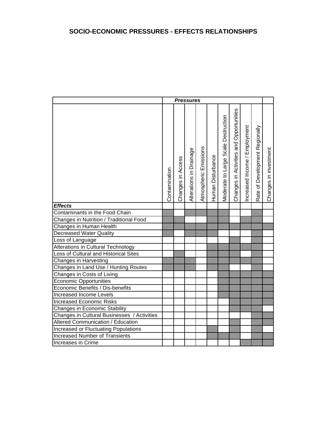|                                             |               |                   | <b>Pressures</b>        |                       |                   |                                     |                                         |                               |                                |                       |
|---------------------------------------------|---------------|-------------------|-------------------------|-----------------------|-------------------|-------------------------------------|-----------------------------------------|-------------------------------|--------------------------------|-----------------------|
|                                             | Contamination | Changes in Access | Alterations in Drainage | Atmospheric Emissions | Human Disturbance | Moderate to Large Scale Destruction | Changes in Activities and Opportunities | Increased Income / Employment | Rate of Development Regionally | Changes in investment |
| <b>Effects</b>                              |               |                   |                         |                       |                   |                                     |                                         |                               |                                |                       |
| Contaminants in the Food Chain              |               |                   |                         |                       |                   |                                     |                                         |                               |                                |                       |
| Changes in Nutrition / Traditional Food     |               |                   |                         |                       |                   |                                     |                                         |                               |                                |                       |
| Changes in Human Health                     |               |                   |                         |                       |                   |                                     |                                         |                               |                                |                       |
| <b>Decreased Water Quality</b>              |               |                   |                         |                       |                   |                                     |                                         |                               |                                |                       |
| Loss of Language                            |               |                   |                         |                       |                   |                                     |                                         |                               |                                |                       |
| <b>Alterations in Cultural Technology</b>   |               |                   |                         |                       |                   |                                     |                                         |                               |                                |                       |
| Loss of Cultural and Historical Sites       |               |                   |                         |                       |                   |                                     |                                         |                               |                                |                       |
| Changes in Harvesting                       |               |                   |                         |                       |                   |                                     |                                         |                               |                                |                       |
| Changes in Land Use / Hunting Routes        |               |                   |                         |                       |                   |                                     |                                         |                               |                                |                       |
| Changes in Costs of Living                  |               |                   |                         |                       |                   |                                     |                                         |                               |                                |                       |
| <b>Economic Opportunities</b>               |               |                   |                         |                       |                   |                                     |                                         |                               |                                |                       |
| Economic Benefits / Dis-benefits            |               |                   |                         |                       |                   |                                     |                                         |                               |                                |                       |
| Increased Income Levels                     |               |                   |                         |                       |                   |                                     |                                         |                               |                                |                       |
| <b>Increased Economic Risks</b>             |               |                   |                         |                       |                   |                                     |                                         |                               |                                |                       |
| Changes in Economic Stability               |               |                   |                         |                       |                   |                                     |                                         |                               |                                |                       |
| Changes in Cultural Businesses / Activities |               |                   |                         |                       |                   |                                     |                                         |                               |                                |                       |
| Altered Communication / Education           |               |                   |                         |                       |                   |                                     |                                         |                               |                                |                       |
| <b>Increased or Fluctuating Populations</b> |               |                   |                         |                       |                   |                                     |                                         |                               |                                |                       |
| <b>Increased Number of Transients</b>       |               |                   |                         |                       |                   |                                     |                                         |                               |                                |                       |
| Increases in Crime                          |               |                   |                         |                       |                   |                                     |                                         |                               |                                |                       |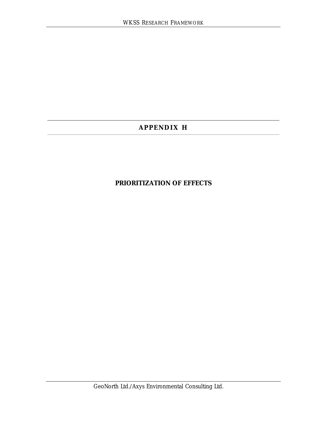# **APPENDIX H**

# **PRIORITIZATION OF EFFECTS**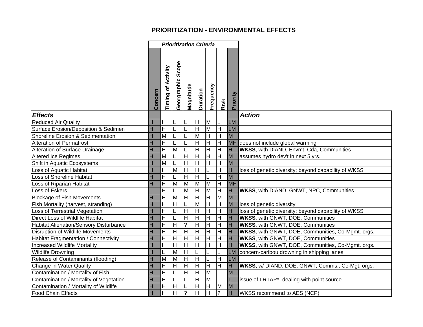# **PRIORITIZATION - ENVIRONMENTAL EFFECTS**

|                                             |         |                                    |                                 | <b>Prioritization Criteria</b>     |          |                                    |                         |           |                                                      |
|---------------------------------------------|---------|------------------------------------|---------------------------------|------------------------------------|----------|------------------------------------|-------------------------|-----------|------------------------------------------------------|
|                                             | Concern | <b>Timing of Activity</b>          | <b>adoa</b><br>Ō<br>Georgraphic | Magnitude                          | Duration | Frequency                          | Risk                    | Priority  |                                                      |
| <b>Effects</b>                              |         |                                    |                                 |                                    |          |                                    |                         |           | <b>Action</b>                                        |
| Reduced Air Quality                         | H       | H                                  |                                 | L                                  | lн       | M                                  |                         | <b>LM</b> |                                                      |
| Surface Erosion/Deposition & Sedimen        | H       | $\overline{\overline{\mathsf{H}}}$ |                                 | L                                  | lн       | $\overline{\mathsf{M}}$            | lн                      | <b>LM</b> |                                                      |
| Shoreline Erosion & Sedimentation           | H       | $\overline{M}$                     |                                 |                                    | M        | $\overline{\overline{\mathsf{H}}}$ | $\overline{\mathsf{H}}$ | M         |                                                      |
| <b>Alteration of Permafrost</b>             | H       | $\boldsymbol{\mathsf{H}}$          |                                 |                                    | H        | $\overline{\overline{\mathsf{H}}}$ | $\overline{\mathsf{H}}$ |           | MH does not include global warming                   |
| Alteration of Surface Drainage              | H       | $\overline{\mathsf{H}}$            | M                               | L                                  | H        | $\overline{\overline{\mathsf{H}}}$ | $\overline{\mathsf{H}}$ | H         | <b>WKSS, with DIAND, Envmt. Cda, Communities</b>     |
| <b>Altered Ice Regimes</b>                  | H       | $\overline{M}$                     |                                 | $\mathsf{H}$                       | Ξ        | H                                  | $\overline{\mathsf{H}}$ | M         | assumes hydro dev't in next 5 yrs.                   |
| Shift in Aquatic Ecosystems                 | H       | $\overline{M}$                     |                                 | $\mathsf{H}$                       | lн       | $\overline{\mathsf{H}}$            | $\overline{\mathsf{H}}$ | M         |                                                      |
| Loss of Aquatic Habitat                     | H       | H                                  | M                               | H                                  | lн       |                                    | $\overline{\mathsf{H}}$ | H         | loss of genetic diversity; beyond capability of WKSS |
| <b>Loss of Shoreline Habitat</b>            | H       | $\overline{H}$                     |                                 | $\overline{H}$                     | lн       |                                    | $\overline{\mathbf{H}}$ | M         |                                                      |
| Loss of Riparian Habitat                    | H       | $\mathsf{H}$                       | M                               | M                                  | M        | M                                  | $\overline{\mathsf{H}}$ | <b>MH</b> |                                                      |
| Loss of Eskers                              |         | $\overline{H}$                     |                                 | M                                  | Ξ        | M                                  | $\overline{\mathsf{H}}$ | H         | <b>WKSS, with DIAND, GNWT, NPC, Communities</b>      |
| <b>Blockage of Fish Movements</b>           | H       | $\mathsf{H}$                       | M                               | H                                  | lн       | ĪН                                 | M                       | M         |                                                      |
| Fish Mortality (harvest, stranding)         | H       | $\mathsf{H}$                       | H                               | Г                                  | M        | $\overline{\mathsf{H}}$            | lн                      | M         | loss of genetic diversity                            |
| Loss of Terrestrial Vegetation              | H       | $\boldsymbol{\mathsf{H}}$          |                                 | $\mathsf{H}$                       | lн       | ĪН                                 | $\overline{\mathsf{H}}$ | H         | loss of genetic diversity; beyond capability of WKSS |
| Direct Loss of Wildlife Habitat             | H       | $\overline{H}$                     |                                 | $\overline{H}$                     | lн       | $\overline{\mathsf{H}}$            | $\overline{\mathsf{H}}$ | Iн        | <b>WKSS, with GNWT, DOE, Communities</b>             |
| Habitat Alienation/Sensory Disturbance      | H       | $\boldsymbol{\mathsf{H}}$          | $\overline{\mathsf{H}}$         | $\overline{?}$                     | Ξ        | $\overline{\mathsf{H}}$            | $\overline{\mathsf{H}}$ | Iн        | <b>WKSS, with GNWT, DOE, Communities</b>             |
| Disruption of Wildlife Movements            | H       | $\overline{H}$                     | $\overline{\mathsf{H}}$         | $\overline{\mathsf{H}}$            | Ξ        | ĪН                                 | $\overline{\mathsf{H}}$ | Iн        | WKSS, with GNWT, DOE, Communities, Co-Mgmt. orgs.    |
| <b>Habitat Fragmentation / Connectivity</b> | H       | $\overline{H}$                     | $\overline{\mathsf{H}}$         | $\overline{H}$                     | lн       | $\overline{\mathsf{H}}$            | $\overline{\mathsf{H}}$ | Iн        | <b>WKSS, with GNWT, DOE, Communities</b>             |
| <b>Increased Wildlife Mortality</b>         | H       | $\overline{H}$                     | $\overline{\mathsf{H}}$         | $\overline{H}$                     | lн       | $\overline{\mathsf{H}}$            | $\overline{\mathsf{H}}$ | H         | WKSS, with GNWT, DOE, Communities, Co-Mgmt. orgs.    |
| <b>Wildlife Drowning</b>                    | H       | L                                  | M                               | $\overline{H}$                     | L        |                                    |                         | <b>LM</b> | concern-caribou drowning in shipping lanes           |
| Release of Contaminants (flooding)          | H       | M                                  | M                               | $\overline{\overline{\mathsf{H}}}$ | Ξ        | L                                  | $\overline{\mathsf{H}}$ | <b>LM</b> |                                                      |
| Change in Water Quality                     | H       | $\boldsymbol{\mathsf{H}}$          | $\overline{\mathsf{H}}$         | H                                  | Ξ        | ĪH                                 | $\overline{\mathsf{H}}$ | H         | WKSS, w/ DIAND, DOE, GNWT, Comms., Co-Mgt. orgs.     |
| Contamination / Mortality of Fish           | H       | $\overline{H}$                     |                                 | $\mathsf{H}$                       | lн       | M                                  | L                       | M         |                                                      |
| Contamination / Mortality of Vegetation     | H       | $\overline{H}$                     |                                 | Г                                  | Ξ        | M                                  | L                       |           | issue of LRTAP*- dealing with point source           |
| Contamination / Mortality of Wildlife       | H       | H                                  | H                               | L                                  | lн       | $\overline{\mathsf{H}}$            | M                       | M         |                                                      |
| <b>Food Chain Effects</b>                   | H       | $\overline{H}$                     | $\overline{\mathsf{H}}$         | $\cdot$                            | Ξ        | $\overline{\overline{\mathsf{H}}}$ | $\overline{?}$          | H         | WKSS recommend to AES (NCP)                          |